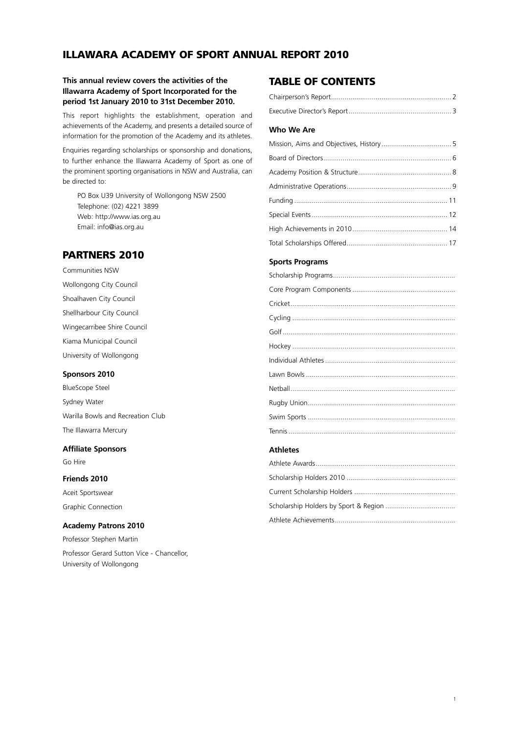## **ILLAWARA ACADEMY OF SPORT ANNUAL REPORT 2010**

## **This annual review covers the activities of the Illawarra Academy of Sport Incorporated for the period 1st January 2010 to 31st December 2010.**

This report highlights the establishment, operation and achievements of the Academy, and presents a detailed source of information for the promotion of the Academy and its athletes.

Enquiries regarding scholarships or sponsorship and donations, to further enhance the Illawarra Academy of Sport as one of the prominent sporting organisations in NSW and Australia, can be directed to:

PO Box U39 University of Wollongong NSW 2500 Telephone: (02) 4221 3899 Web: http://www.ias.org.au Email: info@ias.org.au

## **PARTNERS 2010**

Communities NSW Wollongong City Council Shoalhaven City Council Shellharbour City Council Wingecarribee Shire Council Kiama Municipal Council University of Wollongong

#### **Sponsors 2010**

BlueScope Steel Sydney Water Warilla Bowls and Recreation Club The Illawarra Mercury

# **Affiliate Sponsors**

Go Hire

## **Friends 2010**

Aceit Sportswear Graphic Connection

#### **Academy Patrons 2010**

Professor Stephen Martin Professor Gerard Sutton Vice - Chancellor, University of Wollongong

## **TABLE OF CONTENTS**

## **Who We Are**

#### **Sports Programs**

#### **Athletes**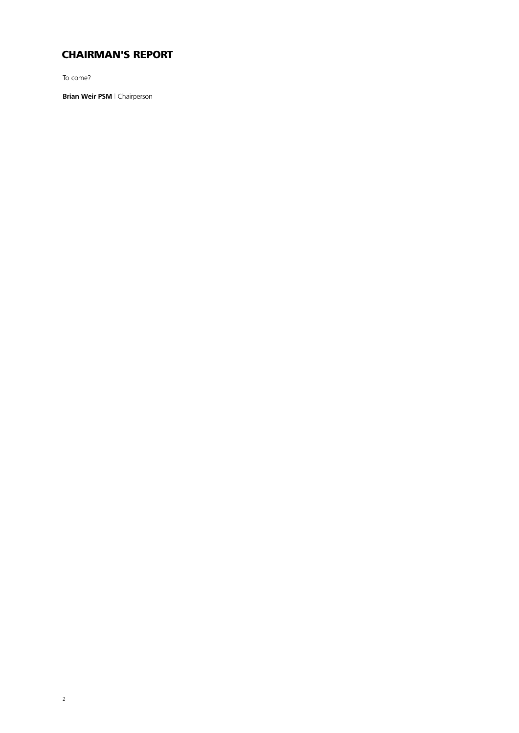# **CHAIRMAN'S REPORT**

To come?

**Brian Weir PSM** | Chairperson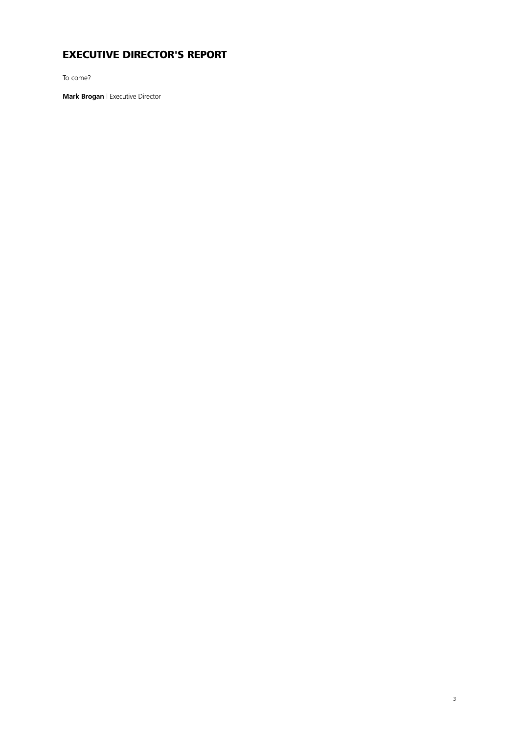# **EXECUTIVE DIRECTOR'S REPORT**

To come?

**Mark Brogan** | Executive Director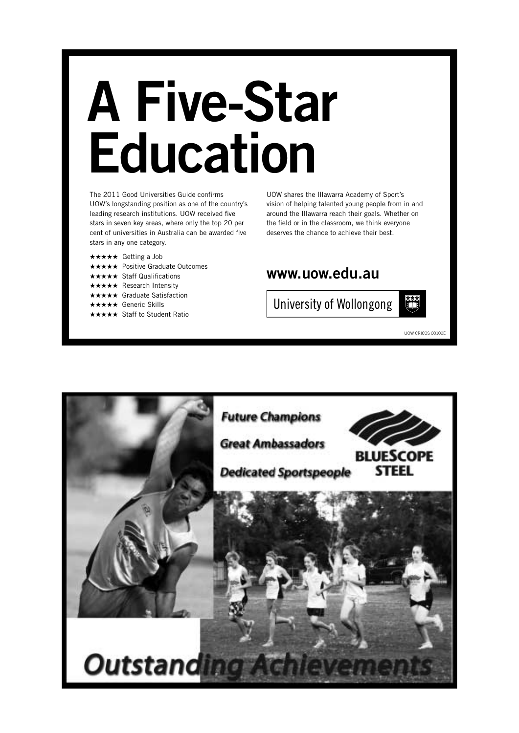# **A Five-Star Education**

The 2011 Good Universities Guide confirms UOW's longstanding position as one of the country's leading research institutions. UOW received five stars in seven key areas, where only the top 20 per cent of universities in Australia can be awarded five stars in any one category.

- **\*\*\*\*\*** Getting a Job
- **★★★★★** Positive Graduate Outcomes
- **★★ Staff Qualifications**
- $\star\star$  Research Intensity
- **★★** Graduate Satisfaction
- **\*\*** Generic Skills
- **★★** Staff to Student Ratio

UOW shares the Illawarra Academy of Sport's vision of helping talented young people from in and around the Illawarra reach their goals. Whether on the field or in the classroom, we think everyone deserves the chance to achieve their best.

# **www.uow.edu.au**





UOW CRICOS 00102E

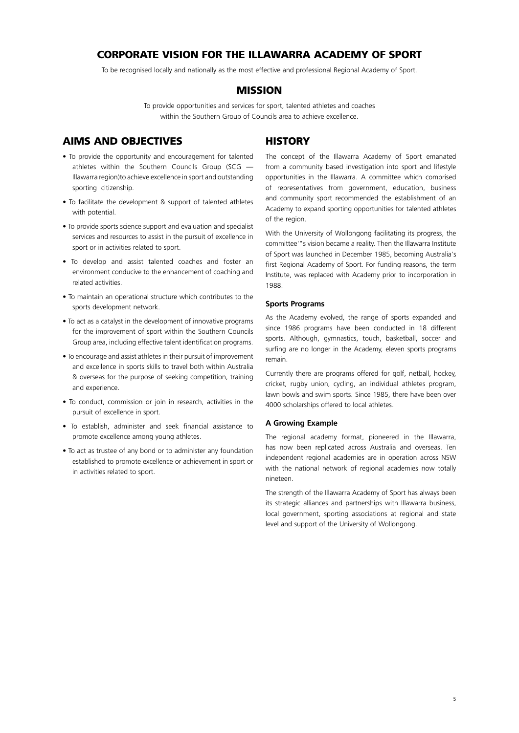## **CORPORATE VISION FOR THE ILLAWARRA ACADEMY OF SPORT**

To be recognised locally and nationally as the most effective and professional Regional Academy of Sport.

## **MISSION**

To provide opportunities and services for sport, talented athletes and coaches within the Southern Group of Councils area to achieve excellence.

## **AIMS AND OBJECTIVES**

- To provide the opportunity and encouragement for talented athletes within the Southern Councils Group (SCG — Illawarra region)to achieve excellence in sport and outstanding sporting citizenship.
- To facilitate the development & support of talented athletes with potential.
- To provide sports science support and evaluation and specialist services and resources to assist in the pursuit of excellence in sport or in activities related to sport.
- To develop and assist talented coaches and foster an environment conducive to the enhancement of coaching and related activities.
- To maintain an operational structure which contributes to the sports development network.
- To act as a catalyst in the development of innovative programs for the improvement of sport within the Southern Councils Group area, including effective talent identification programs.
- To encourage and assist athletes in their pursuit of improvement and excellence in sports skills to travel both within Australia & overseas for the purpose of seeking competition, training and experience.
- To conduct, commission or join in research, activities in the pursuit of excellence in sport.
- To establish, administer and seek financial assistance to promote excellence among young athletes.
- To act as trustee of any bond or to administer any foundation established to promote excellence or achievement in sport or in activities related to sport.

## **HISTORY**

The concept of the Illawarra Academy of Sport emanated from a community based investigation into sport and lifestyle opportunities in the Illawarra. A committee which comprised of representatives from government, education, business and community sport recommended the establishment of an Academy to expand sporting opportunities for talented athletes of the region.

With the University of Wollongong facilitating its progress, the committee'"s vision became a reality. Then the Illawarra Institute of Sport was launched in December 1985, becoming Australia's first Regional Academy of Sport. For funding reasons, the term Institute, was replaced with Academy prior to incorporation in 1988.

#### **Sports Programs**

As the Academy evolved, the range of sports expanded and since 1986 programs have been conducted in 18 different sports. Although, gymnastics, touch, basketball, soccer and surfing are no longer in the Academy, eleven sports programs remain.

Currently there are programs offered for golf, netball, hockey, cricket, rugby union, cycling, an individual athletes program, lawn bowls and swim sports. Since 1985, there have been over 4000 scholarships offered to local athletes.

#### **A Growing Example**

The regional academy format, pioneered in the Illawarra, has now been replicated across Australia and overseas. Ten independent regional academies are in operation across NSW with the national network of regional academies now totally nineteen.

The strength of the Illawarra Academy of Sport has always been its strategic alliances and partnerships with Illawarra business, local government, sporting associations at regional and state level and support of the University of Wollongong.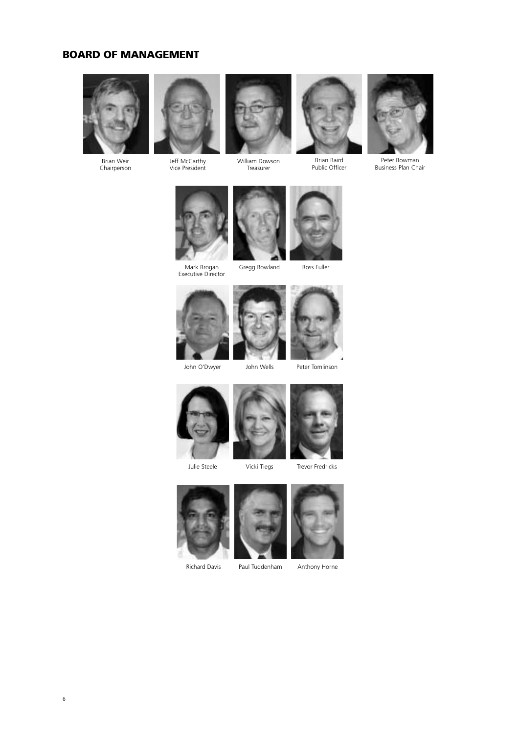## **BOARD OF MANAGEMENT**



Brian Weir Chairperson



Jeff McCarthy Vice President



William Dowson Treasurer



Brian Baird Public Officer



Peter Bowman Business Plan Chair



Mark Brogan<br>Executive Director







Peter Tomlinson



Julie Steele

Vicki Tiegs



Trevor Fredricks





Richard Davis Paul Tuddenham Anthony Horne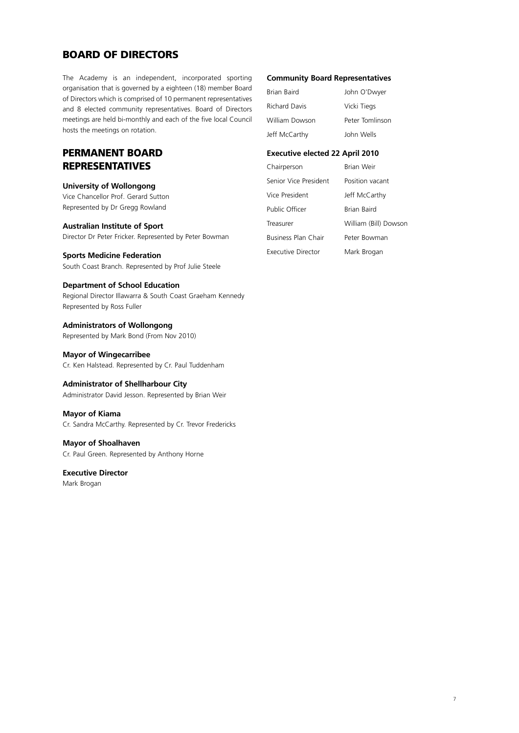## **BOARD OF DIRECTORS**

The Academy is an independent, incorporated sporting organisation that is governed by a eighteen (18) member Board of Directors which is comprised of 10 permanent representatives and 8 elected community representatives. Board of Directors meetings are held bi-monthly and each of the five local Council hosts the meetings on rotation.

## **PERMANENT BOARD REPRESENTATIVES**

**University of Wollongong** Vice Chancellor Prof. Gerard Sutton Represented by Dr Gregg Rowland

**Australian Institute of Sport** Director Dr Peter Fricker. Represented by Peter Bowman

**Sports Medicine Federation** South Coast Branch. Represented by Prof Julie Steele

**Department of School Education** Regional Director Illawarra & South Coast Graeham Kennedy Represented by Ross Fuller

**Administrators of Wollongong** Represented by Mark Bond (From Nov 2010)

**Mayor of Wingecarribee** Cr. Ken Halstead. Represented by Cr. Paul Tuddenham

**Administrator of Shellharbour City** Administrator David Jesson. Represented by Brian Weir

**Mayor of Kiama** Cr. Sandra McCarthy. Represented by Cr. Trevor Fredericks

**Mayor of Shoalhaven** Cr. Paul Green. Represented by Anthony Horne

# **Executive Director**

Mark Brogan

#### **Community Board Representatives**

| Brian Baird          | John O'Dwyer    |
|----------------------|-----------------|
| <b>Richard Davis</b> | Vicki Tiegs     |
| William Dowson       | Peter Tomlinson |
| Jeff McCarthy        | John Wells      |

## **Executive elected 22 April 2010**

| Chairperson               | <b>Brian Weir</b>     |
|---------------------------|-----------------------|
| Senior Vice President     | Position vacant       |
| Vice President            | Jeff McCarthy         |
| Public Officer            | Brian Baird           |
| Treasurer                 | William (Bill) Dowson |
| Business Plan Chair       | Peter Bowman          |
| <b>Executive Director</b> | Mark Brogan           |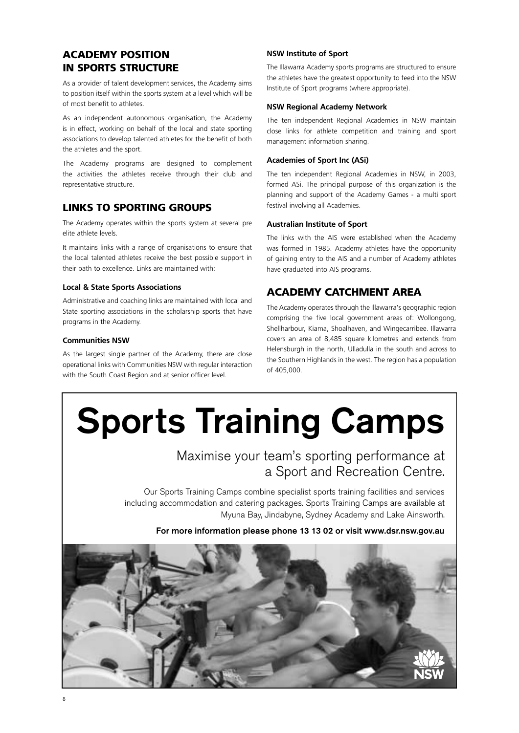## **ACADEMY POSITION IN SPORTS STRUCTURE**

As a provider of talent development services, the Academy aims to position itself within the sports system at a level which will be of most benefit to athletes.

As an independent autonomous organisation, the Academy is in effect, working on behalf of the local and state sporting associations to develop talented athletes for the benefit of both the athletes and the sport.

The Academy programs are designed to complement the activities the athletes receive through their club and representative structure.

## **LINKS TO SPORTING GROUPS**

The Academy operates within the sports system at several pre elite athlete levels.

It maintains links with a range of organisations to ensure that the local talented athletes receive the best possible support in their path to excellence. Links are maintained with:

## **Local & State Sports Associations**

Administrative and coaching links are maintained with local and State sporting associations in the scholarship sports that have programs in the Academy.

## **Communities NSW**

As the largest single partner of the Academy, there are close operational links with Communities NSW with regular interaction with the South Coast Region and at senior officer level.

## **NSW Institute of Sport**

The Illawarra Academy sports programs are structured to ensure the athletes have the greatest opportunity to feed into the NSW Institute of Sport programs (where appropriate).

## **NSW Regional Academy Network**

The ten independent Regional Academies in NSW maintain close links for athlete competition and training and sport management information sharing.

## **Academies of Sport Inc (ASi)**

The ten independent Regional Academies in NSW, in 2003, formed ASi. The principal purpose of this organization is the planning and support of the Academy Games - a multi sport festival involving all Academies.

## **Australian Institute of Sport**

The links with the AIS were established when the Academy was formed in 1985. Academy athletes have the opportunity of gaining entry to the AIS and a number of Academy athletes have graduated into AIS programs.

## **ACADEMY CATCHMENT AREA**

The Academy operates through the Illawarra's geographic region comprising the five local government areas of: Wollongong, Shellharbour, Kiama, Shoalhaven, and Wingecarribee. Illawarra covers an area of 8,485 square kilometres and extends from Helensburgh in the north, Ulladulla in the south and across to the Southern Highlands in the west. The region has a population of 405,000.

# **Sports Training Camps**

# Maximise your team's sporting performance at a Sport and Recreation Centre.

Our Sports Training Camps combine specialist sports training facilities and services including accommodation and catering packages. Sports Training Camps are available at Myuna Bay, Jindabyne, Sydney Academy and Lake Ainsworth.

**For more information please phone 13 13 02 or visit www.dsr.nsw.gov.au**

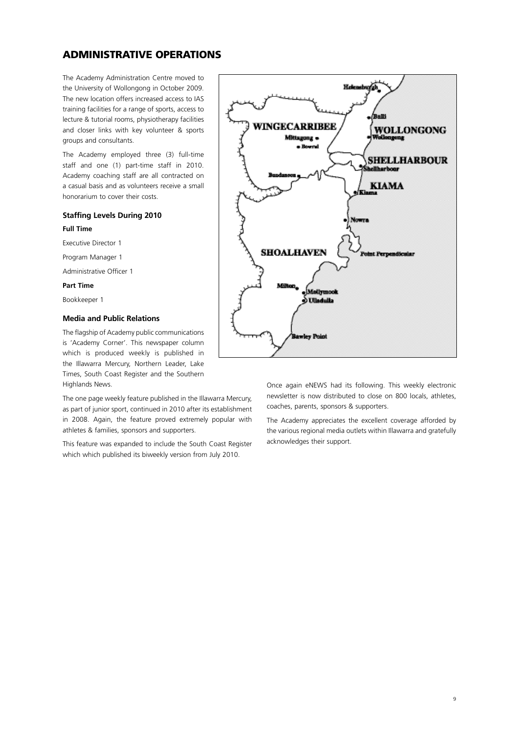## **ADMINISTRATIVE OPERATIONS**

The Academy Administration Centre moved to the University of Wollongong in October 2009. The new location offers increased access to IAS training facilities for a range of sports, access to lecture & tutorial rooms, physiotherapy facilities and closer links with key volunteer & sports groups and consultants.

The Academy employed three (3) full-time staff and one (1) part-time staff in 2010. Academy coaching staff are all contracted on a casual basis and as volunteers receive a small honorarium to cover their costs.

## **Staffing Levels During 2010**

#### **Full Time**

Executive Director 1

Program Manager 1

Administrative Officer 1

## **Part Time**

Bookkeeper 1

## **Media and Public Relations**

The flagship of Academy public communications is 'Academy Corner'. This newspaper column which is produced weekly is published in the Illawarra Mercury, Northern Leader, Lake Times, South Coast Register and the Southern Highlands News.

The one page weekly feature published in the Illawarra Mercury, as part of junior sport, continued in 2010 after its establishment in 2008. Again, the feature proved extremely popular with athletes & families, sponsors and supporters.

This feature was expanded to include the South Coast Register which which published its biweekly version from July 2010.



Once again eNEWS had its following. This weekly electronic newsletter is now distributed to close on 800 locals, athletes, coaches, parents, sponsors & supporters.

The Academy appreciates the excellent coverage afforded by the various regional media outlets within Illawarra and gratefully acknowledges their support.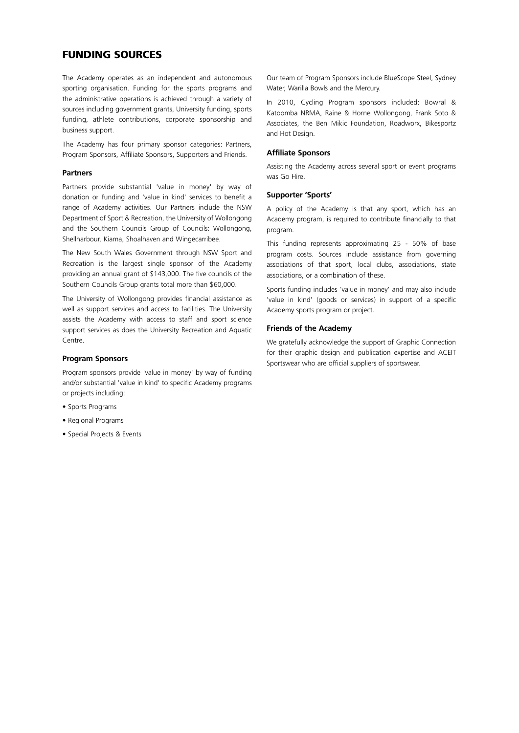## **FUNDING SOURCES**

The Academy operates as an independent and autonomous sporting organisation. Funding for the sports programs and the administrative operations is achieved through a variety of sources including government grants, University funding, sports funding, athlete contributions, corporate sponsorship and business support.

The Academy has four primary sponsor categories: Partners, Program Sponsors, Affiliate Sponsors, Supporters and Friends.

#### **Partners**

Partners provide substantial 'value in money' by way of donation or funding and 'value in kind' services to benefit a range of Academy activities. Our Partners include the NSW Department of Sport & Recreation, the University of Wollongong and the Southern Councils Group of Councils: Wollongong, Shellharbour, Kiama, Shoalhaven and Wingecarribee.

The New South Wales Government through NSW Sport and Recreation is the largest single sponsor of the Academy providing an annual grant of \$143,000. The five councils of the Southern Councils Group grants total more than \$60,000.

The University of Wollongong provides financial assistance as well as support services and access to facilities. The University assists the Academy with access to staff and sport science support services as does the University Recreation and Aquatic Centre.

#### **Program Sponsors**

Program sponsors provide 'value in money' by way of funding and/or substantial 'value in kind' to specific Academy programs or projects including:

- Sports Programs
- Regional Programs
- Special Projects & Events

Our team of Program Sponsors include BlueScope Steel, Sydney Water, Warilla Bowls and the Mercury.

In 2010, Cycling Program sponsors included: Bowral & Katoomba NRMA, Raine & Horne Wollongong, Frank Soto & Associates, the Ben Mikic Foundation, Roadworx, Bikesportz and Hot Design.

#### **Affiliate Sponsors**

Assisting the Academy across several sport or event programs was Go Hire.

#### **Supporter 'Sports'**

A policy of the Academy is that any sport, which has an Academy program, is required to contribute financially to that program.

This funding represents approximating 25 - 50% of base program costs. Sources include assistance from governing associations of that sport, local clubs, associations, state associations, or a combination of these.

Sports funding includes 'value in money' and may also include 'value in kind' (goods or services) in support of a specific Academy sports program or project.

#### **Friends of the Academy**

We gratefully acknowledge the support of Graphic Connection for their graphic design and publication expertise and ACEIT Sportswear who are official suppliers of sportswear.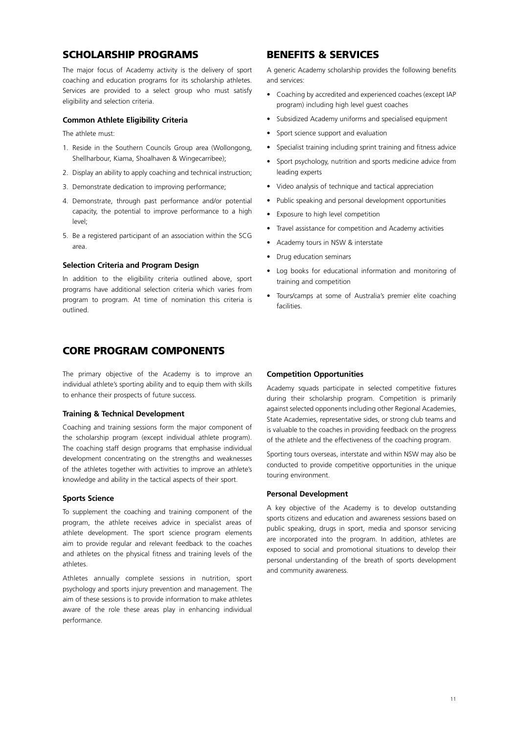## **SCHOLARSHIP PROGRAMS**

The major focus of Academy activity is the delivery of sport coaching and education programs for its scholarship athletes. Services are provided to a select group who must satisfy eligibility and selection criteria.

#### **Common Athlete Eligibility Criteria**

The athlete must:

- 1. Reside in the Southern Councils Group area (Wollongong, Shellharbour, Kiama, Shoalhaven & Wingecarribee);
- 2. Display an ability to apply coaching and technical instruction;
- 3. Demonstrate dedication to improving performance;
- 4. Demonstrate, through past performance and/or potential capacity, the potential to improve performance to a high level;
- 5. Be a registered participant of an association within the SCG area.

#### **Selection Criteria and Program Design**

In addition to the eligibility criteria outlined above, sport programs have additional selection criteria which varies from program to program. At time of nomination this criteria is outlined.

## **CORE PROGRAM COMPONENTS**

The primary objective of the Academy is to improve an individual athlete's sporting ability and to equip them with skills to enhance their prospects of future success.

## **Training & Technical Development**

Coaching and training sessions form the major component of the scholarship program (except individual athlete program). The coaching staff design programs that emphasise individual development concentrating on the strengths and weaknesses of the athletes together with activities to improve an athlete's knowledge and ability in the tactical aspects of their sport.

#### **Sports Science**

To supplement the coaching and training component of the program, the athlete receives advice in specialist areas of athlete development. The sport science program elements aim to provide regular and relevant feedback to the coaches and athletes on the physical fitness and training levels of the athletes.

Athletes annually complete sessions in nutrition, sport psychology and sports injury prevention and management. The aim of these sessions is to provide information to make athletes aware of the role these areas play in enhancing individual performance.

## **BENEFITS & SERVICES**

A generic Academy scholarship provides the following benefits and services:

- Coaching by accredited and experienced coaches (except IAP program) including high level guest coaches
- Subsidized Academy uniforms and specialised equipment
- Sport science support and evaluation
- Specialist training including sprint training and fitness advice
- Sport psychology, nutrition and sports medicine advice from leading experts
- Video analysis of technique and tactical appreciation
- Public speaking and personal development opportunities
- Exposure to high level competition
- Travel assistance for competition and Academy activities
- Academy tours in NSW & interstate
- Drug education seminars
- Log books for educational information and monitoring of training and competition
- Tours/camps at some of Australia's premier elite coaching facilities.

#### **Competition Opportunities**

Academy squads participate in selected competitive fixtures during their scholarship program. Competition is primarily against selected opponents including other Regional Academies, State Academies, representative sides, or strong club teams and is valuable to the coaches in providing feedback on the progress of the athlete and the effectiveness of the coaching program.

Sporting tours overseas, interstate and within NSW may also be conducted to provide competitive opportunities in the unique touring environment.

#### **Personal Development**

A key objective of the Academy is to develop outstanding sports citizens and education and awareness sessions based on public speaking, drugs in sport, media and sponsor servicing are incorporated into the program. In addition, athletes are exposed to social and promotional situations to develop their personal understanding of the breath of sports development and community awareness.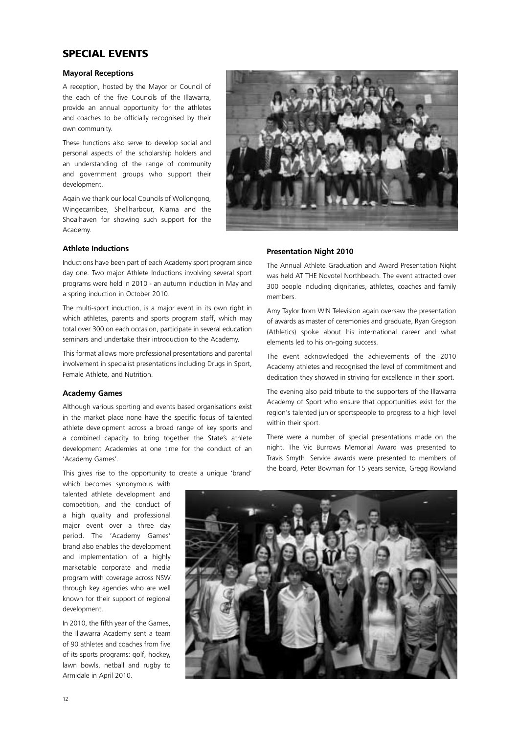## **SPECIAL EVENTS**

#### **Mayoral Receptions**

A reception, hosted by the Mayor or Council of the each of the five Councils of the Illawarra, provide an annual opportunity for the athletes and coaches to be officially recognised by their own community.

These functions also serve to develop social and personal aspects of the scholarship holders and an understanding of the range of community and government groups who support their development.

Again we thank our local Councils of Wollongong, Wingecarribee, Shellharbour, Kiama and the Shoalhaven for showing such support for the Academy.



#### **Athlete Inductions**

Inductions have been part of each Academy sport program since day one. Two major Athlete Inductions involving several sport programs were held in 2010 - an autumn induction in May and a spring induction in October 2010.

The multi-sport induction, is a major event in its own right in which athletes, parents and sports program staff, which may total over 300 on each occasion, participate in several education seminars and undertake their introduction to the Academy.

This format allows more professional presentations and parental involvement in specialist presentations including Drugs in Sport, Female Athlete, and Nutrition.

#### **Academy Games**

Although various sporting and events based organisations exist in the market place none have the specific focus of talented athlete development across a broad range of key sports and a combined capacity to bring together the State's athlete development Academies at one time for the conduct of an 'Academy Games'.

This gives rise to the opportunity to create a unique 'brand' which becomes synonymous with

talented athlete development and competition, and the conduct of a high quality and professional major event over a three day period. The 'Academy Games' brand also enables the development and implementation of a highly marketable corporate and media program with coverage across NSW through key agencies who are well known for their support of regional development.

In 2010, the fifth year of the Games, the Illawarra Academy sent a team of 90 athletes and coaches from five of its sports programs: golf, hockey, lawn bowls, netball and rugby to Armidale in April 2010.

#### **Presentation Night 2010**

The Annual Athlete Graduation and Award Presentation Night was held AT THE Novotel Northbeach. The event attracted over 300 people including dignitaries, athletes, coaches and family members.

Amy Taylor from WIN Television again oversaw the presentation of awards as master of ceremonies and graduate, Ryan Gregson (Athletics) spoke about his international career and what elements led to his on-going success.

The event acknowledged the achievements of the 2010 Academy athletes and recognised the level of commitment and dedication they showed in striving for excellence in their sport.

The evening also paid tribute to the supporters of the Illawarra Academy of Sport who ensure that opportunities exist for the region's talented junior sportspeople to progress to a high level within their sport.

There were a number of special presentations made on the night. The Vic Burrows Memorial Award was presented to Travis Smyth. Service awards were presented to members of the board, Peter Bowman for 15 years service, Gregg Rowland

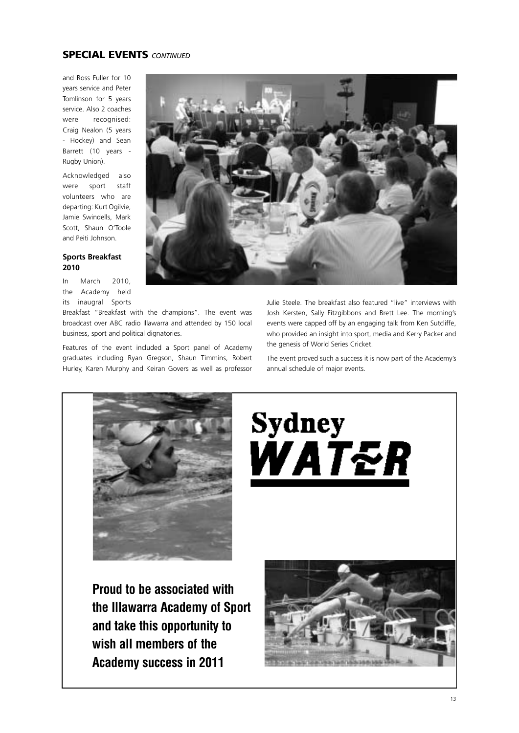## **SPECIAL EVENTS** *CONTINUED*

and Ross Fuller for 10 years service and Peter Tomlinson for 5 years service. Also 2 coaches were recognised: Craig Nealon (5 years - Hockey) and Sean Barrett (10 years - Rugby Union).

Acknowledged also were sport staff volunteers who are departing: Kurt Ogilvie, Jamie Swindells, Mark Scott, Shaun O'Toole and Peiti Johnson.

## **Sports Breakfast 2010**

In March 2010, the Academy held its inaugral Sports

Breakfast "Breakfast with the champions". The event was broadcast over ABC radio Illawarra and attended by 150 local business, sport and political dignatories.

Features of the event included a Sport panel of Academy graduates including Ryan Gregson, Shaun Timmins, Robert Hurley, Karen Murphy and Keiran Govers as well as professor



Julie Steele. The breakfast also featured "live" interviews with Josh Kersten, Sally Fitzgibbons and Brett Lee. The morning's events were capped off by an engaging talk from Ken Sutcliffe, who provided an insight into sport, media and Kerry Packer and the genesis of World Series Cricket.

The event proved such a success it is now part of the Academy's annual schedule of major events.



# **Sydney** WATER

**Proud to be associated with the Illawarra Academy of Sport and take this opportunity to wish all members of the Academy success in 2011**

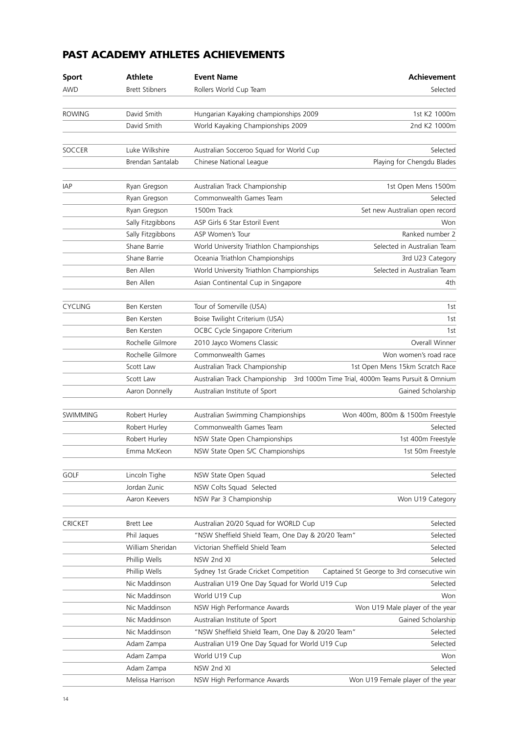# **PAST ACADEMY ATHLETES ACHIEVEMENTS**

| <b>Sport</b>    | <b>Athlete</b>        | <b>Event Name</b>                                 | <b>Achievement</b>                                 |
|-----------------|-----------------------|---------------------------------------------------|----------------------------------------------------|
| AWD             | <b>Brett Stibners</b> | Rollers World Cup Team                            | Selected                                           |
| <b>ROWING</b>   | David Smith           |                                                   | 1st K2 1000m                                       |
|                 |                       | Hungarian Kayaking championships 2009             |                                                    |
|                 | David Smith           | World Kayaking Championships 2009                 | 2nd K2 1000m                                       |
| SOCCER          | Luke Wilkshire        | Australian Socceroo Squad for World Cup           | Selected                                           |
|                 | Brendan Santalab      | Chinese National League                           | Playing for Chengdu Blades                         |
|                 |                       |                                                   |                                                    |
| IAP             | Ryan Gregson          | Australian Track Championship                     | 1st Open Mens 1500m                                |
|                 | Ryan Gregson          | Commonwealth Games Team                           | Selected                                           |
|                 | Ryan Gregson          | 1500m Track                                       | Set new Australian open record                     |
|                 | Sally Fitzgibbons     | ASP Girls 6 Star Estoril Event                    | Won                                                |
|                 | Sally Fitzgibbons     | ASP Women's Tour                                  | Ranked number 2                                    |
|                 | Shane Barrie          | World University Triathlon Championships          | Selected in Australian Team                        |
|                 | Shane Barrie          | Oceania Triathlon Championships                   | 3rd U23 Category                                   |
|                 | Ben Allen             | World University Triathlon Championships          | Selected in Australian Team                        |
|                 | Ben Allen             | Asian Continental Cup in Singapore                | 4th                                                |
| <b>CYCLING</b>  | Ben Kersten           | Tour of Somerville (USA)                          | 1st                                                |
|                 | Ben Kersten           | Boise Twilight Criterium (USA)                    | 1st                                                |
|                 | Ben Kersten           | OCBC Cycle Singapore Criterium                    | 1st                                                |
|                 | Rochelle Gilmore      | 2010 Jayco Womens Classic                         | Overall Winner                                     |
|                 | Rochelle Gilmore      | Commonwealth Games                                | Won women's road race                              |
|                 | Scott Law             | Australian Track Championship                     | 1st Open Mens 15km Scratch Race                    |
|                 | Scott Law             | Australian Track Championship                     | 3rd 1000m Time Trial, 4000m Teams Pursuit & Omnium |
|                 | Aaron Donnelly        | Australian Institute of Sport                     | Gained Scholarship                                 |
|                 |                       |                                                   |                                                    |
| <b>SWIMMING</b> | Robert Hurley         | Australian Swimming Championships                 | Won 400m, 800m & 1500m Freestyle                   |
|                 | Robert Hurley         | Commonwealth Games Team                           | Selected                                           |
|                 | Robert Hurley         | NSW State Open Championships                      | 1st 400m Freestyle                                 |
|                 | Emma McKeon           | NSW State Open S/C Championships                  | 1st 50m Freestyle                                  |
|                 |                       |                                                   |                                                    |
| <b>GOLF</b>     | Lincoln Tighe         | NSW State Open Squad                              | Selected                                           |
|                 | Jordan Zunic          | NSW Colts Squad Selected                          |                                                    |
|                 | Aaron Keevers         | NSW Par 3 Championship                            | Won U19 Category                                   |
| CRICKET         | <b>Brett Lee</b>      | Australian 20/20 Squad for WORLD Cup              | Selected                                           |
|                 | Phil Jaques           | "NSW Sheffield Shield Team, One Day & 20/20 Team" | Selected                                           |
|                 | William Sheridan      | Victorian Sheffield Shield Team                   | Selected                                           |
|                 | Phillip Wells         | NSW 2nd XI                                        | Selected                                           |
|                 | Phillip Wells         | Sydney 1st Grade Cricket Competition              | Captained St George to 3rd consecutive win         |
|                 | Nic Maddinson         | Australian U19 One Day Squad for World U19 Cup    | Selected                                           |
|                 | Nic Maddinson         | World U19 Cup                                     | Won                                                |
|                 | Nic Maddinson         | NSW High Performance Awards                       | Won U19 Male player of the year                    |
|                 | Nic Maddinson         | Australian Institute of Sport                     | Gained Scholarship                                 |
|                 | Nic Maddinson         | "NSW Sheffield Shield Team, One Day & 20/20 Team" | Selected                                           |
|                 | Adam Zampa            | Australian U19 One Day Squad for World U19 Cup    | Selected                                           |
|                 | Adam Zampa            | World U19 Cup                                     | Won                                                |
|                 | Adam Zampa            | NSW 2nd XI                                        | Selected                                           |
|                 | Melissa Harrison      | NSW High Performance Awards                       | Won U19 Female player of the year                  |
|                 |                       |                                                   |                                                    |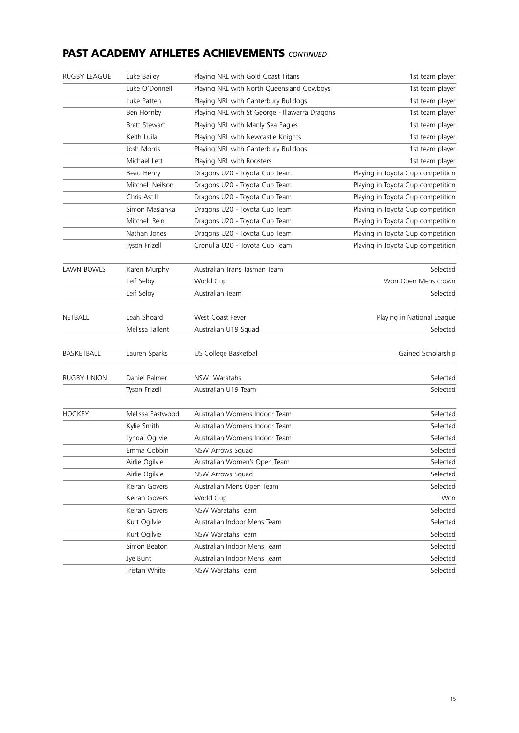## **PAST ACADEMY ATHLETES ACHIEVEMENTS** *CONTINUED*

| <b>RUGBY LEAGUE</b> | Luke Bailey          | Playing NRL with Gold Coast Titans             | 1st team player                   |
|---------------------|----------------------|------------------------------------------------|-----------------------------------|
|                     | Luke O'Donnell       | Playing NRL with North Queensland Cowboys      | 1st team player                   |
|                     | Luke Patten          | Playing NRL with Canterbury Bulldogs           | 1st team player                   |
|                     | Ben Hornby           | Playing NRL with St George - Illawarra Dragons | 1st team player                   |
|                     | <b>Brett Stewart</b> | Playing NRL with Manly Sea Eagles              | 1st team player                   |
|                     | Keith Luila          | Playing NRL with Newcastle Knights             | 1st team player                   |
|                     | Josh Morris          | Playing NRL with Canterbury Bulldogs           | 1st team player                   |
|                     | Michael Lett         | Playing NRL with Roosters                      | 1st team player                   |
|                     | Beau Henry           | Dragons U20 - Toyota Cup Team                  | Playing in Toyota Cup competition |
|                     | Mitchell Neilson     | Dragons U20 - Toyota Cup Team                  | Playing in Toyota Cup competition |
|                     | Chris Astill         | Dragons U20 - Toyota Cup Team                  | Playing in Toyota Cup competition |
|                     | Simon Maslanka       | Dragons U20 - Toyota Cup Team                  | Playing in Toyota Cup competition |
|                     | Mitchell Rein        | Dragons U20 - Toyota Cup Team                  | Playing in Toyota Cup competition |
|                     | Nathan Jones         | Dragons U20 - Toyota Cup Team                  | Playing in Toyota Cup competition |
|                     | Tyson Frizell        | Cronulla U20 - Toyota Cup Team                 | Playing in Toyota Cup competition |
| LAWN BOWLS          | Karen Murphy         | Australian Trans Tasman Team                   | Selected                          |
|                     | Leif Selby           | World Cup                                      | Won Open Mens crown               |
|                     | Leif Selby           | Australian Team                                | Selected                          |
| NETBALL             | Leah Shoard          | West Coast Fever                               | Playing in National League        |
|                     | Melissa Tallent      | Australian U19 Squad                           | Selected                          |
| BASKETBALL          | Lauren Sparks        | US College Basketball                          | Gained Scholarship                |
| <b>RUGBY UNION</b>  | Daniel Palmer        | NSW Waratahs                                   | Selected                          |
|                     | Tyson Frizell        | Australian U19 Team                            | Selected                          |
| <b>HOCKEY</b>       | Melissa Eastwood     | Australian Womens Indoor Team                  | Selected                          |
|                     | Kylie Smith          | Australian Womens Indoor Team                  | Selected                          |
|                     | Lyndal Ogilvie       | Australian Womens Indoor Team                  | Selected                          |
|                     | Emma Cobbin          | NSW Arrows Squad                               | Selected                          |
|                     | Airlie Ogilvie       | Australian Women's Open Team                   | Selected                          |
|                     | Airlie Ogilvie       | NSW Arrows Squad                               | Selected                          |
|                     | Keiran Govers        | Australian Mens Open Team                      | Selected                          |
|                     | Keiran Govers        | World Cup                                      | Won                               |
|                     | Keiran Govers        | NSW Waratahs Team                              | Selected                          |
|                     | Kurt Ogilvie         | Australian Indoor Mens Team                    | Selected                          |
|                     | Kurt Ogilvie         | NSW Waratahs Team                              | Selected                          |
|                     | Simon Beaton         | Australian Indoor Mens Team                    | Selected                          |
|                     | Jye Bunt             | Australian Indoor Mens Team                    | Selected                          |
|                     | Tristan White        | NSW Waratahs Team                              | Selected                          |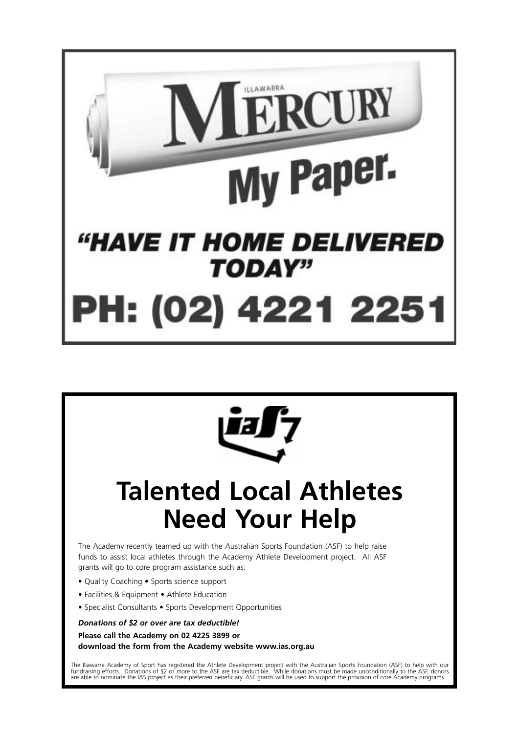



# **Talented Local Athletes Need Your Help**

The Academy recently teamed up with the Australian Sports Foundation (ASF) to help raise funds to assist local athletes through the Academy Athlete Development project. All ASF grants will go to core program assistance such as:

- Quality Coaching Sports science support
- Facilities & Equipment Athlete Education
- Specialist Consultants Sports Development Opportunities

*Donations of \$2 or over are tax deductible!*

**Please call the Academy on 02 4225 3899 or download the form from the Academy website www.ias.org.au**

The Illawarra Academy of Sport has registered the Athlete Development project with the Australian Sports Foundation (ASF) to help with our fundraising efforts. Donations of \$2 or more to the ASF are tax deductible. While donations must be made unconditionally to the ASF, donors<br>are able to nominate the IAS project as their preferred beneficiary. ASF grants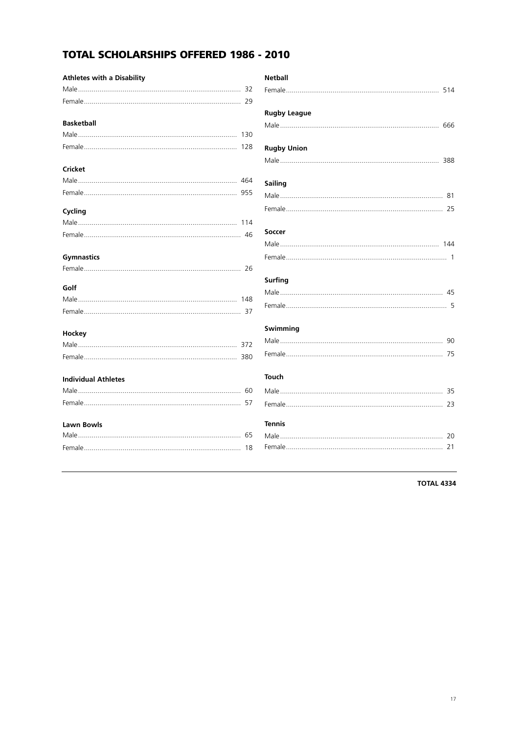# **TOTAL SCHOLARSHIPS OFFERED 1986 - 2010**

| <b>Athletes with a Disability</b> |
|-----------------------------------|
|                                   |
|                                   |
| <b>Basketball</b>                 |
| 130                               |
|                                   |
| Cricket                           |
|                                   |
|                                   |
| Cycling                           |
|                                   |
|                                   |
| <b>Gymnastics</b>                 |
|                                   |
| Golf                              |
|                                   |
|                                   |
| Hockey                            |
|                                   |
|                                   |
| <b>Individual Athletes</b>        |
|                                   |
|                                   |
| Lawn Bowls                        |
|                                   |
|                                   |

| <b>Netball</b>      |
|---------------------|
| <b>Rugby League</b> |
|                     |
| <b>Rugby Union</b>  |
|                     |
| Sailing             |
|                     |
|                     |
| Soccer              |
|                     |
|                     |
| <b>Surfing</b>      |
|                     |
|                     |
| Swimming            |
|                     |
|                     |
| <b>Touch</b>        |
|                     |
|                     |
| <b>Tennis</b>       |
|                     |
|                     |

**TOTAL 4334**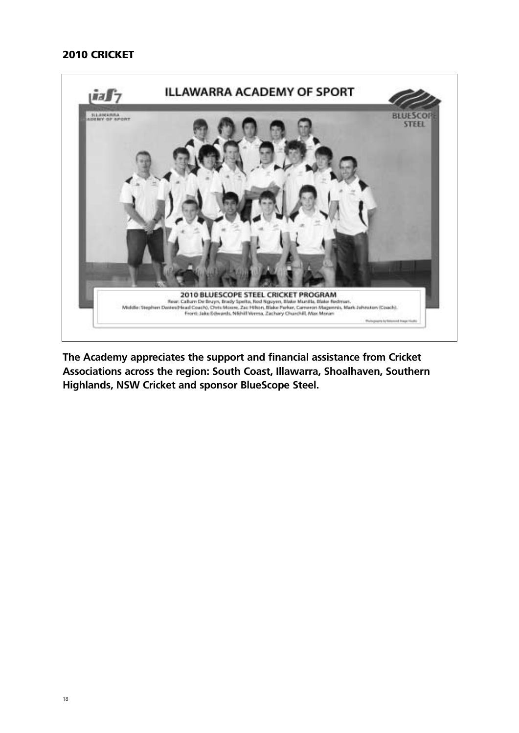## **2010 CRICKET**



**The Academy appreciates the support and financial assistance from Cricket Associations across the region: South Coast, Illawarra, Shoalhaven, Southern Highlands, NSW Cricket and sponsor BlueScope Steel.**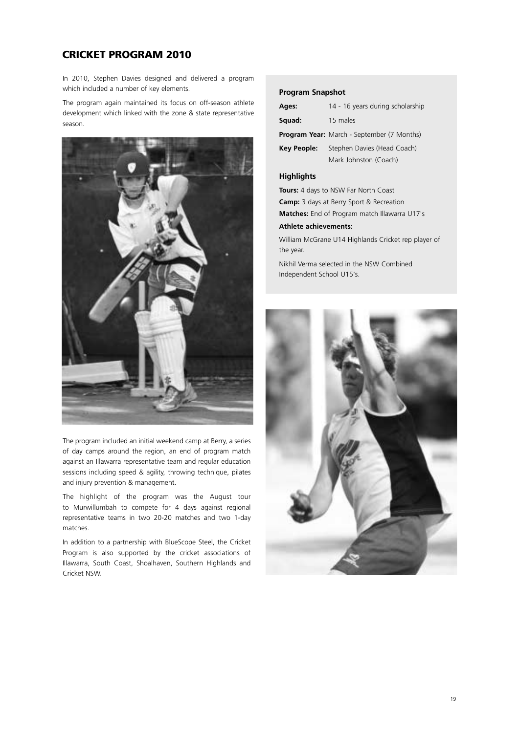## **CRICKET PROGRAM 2010**

In 2010, Stephen Davies designed and delivered a program which included a number of key elements.

The program again maintained its focus on off-season athlete development which linked with the zone & state representative season.



The program included an initial weekend camp at Berry, a series of day camps around the region, an end of program match against an Illawarra representative team and regular education sessions including speed & agility, throwing technique, pilates and injury prevention & management.

The highlight of the program was the August tour to Murwillumbah to compete for 4 days against regional representative teams in two 20-20 matches and two 1-day matches.

In addition to a partnership with BlueScope Steel, the Cricket Program is also supported by the cricket associations of Illawarra, South Coast, Shoalhaven, Southern Highlands and Cricket NSW.

### **Program Snapshot**

| Ages:       | 14 - 16 years during scholarship                  |
|-------------|---------------------------------------------------|
| Squad:      | 15 males                                          |
|             | <b>Program Year:</b> March - September (7 Months) |
| Key People: | Stephen Davies (Head Coach)                       |
|             | Mark Johnston (Coach)                             |

## **Highlights**

**Tours:** 4 days to NSW Far North Coast

**Camp:** 3 days at Berry Sport & Recreation **Matches:** End of Program match Illawarra U17's

## **Athlete achievements:**

William McGrane U14 Highlands Cricket rep player of the year.

Nikhil Verma selected in the NSW Combined Independent School U15's.

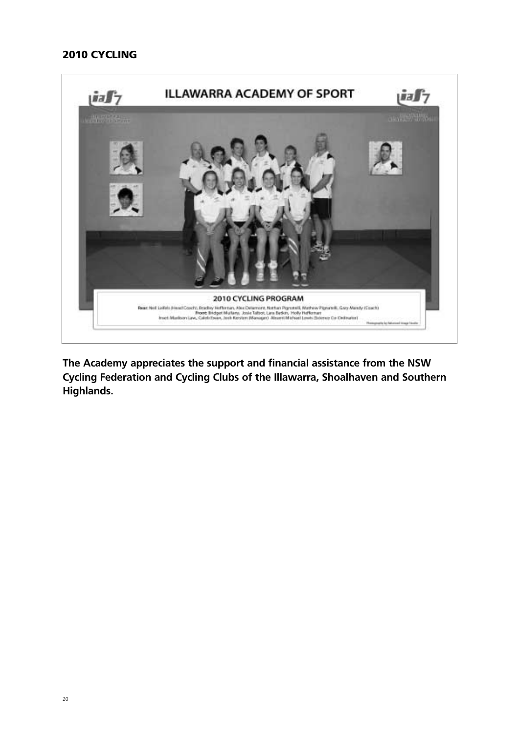## **2010 CYCLING**



**The Academy appreciates the support and financial assistance from the NSW Cycling Federation and Cycling Clubs of the Illawarra, Shoalhaven and Southern Highlands.**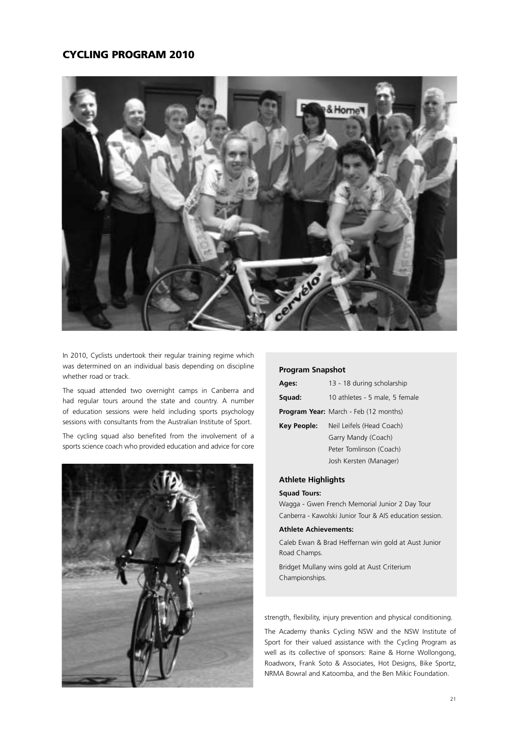## **CYCLING PROGRAM 2010**



In 2010, Cyclists undertook their regular training regime which was determined on an individual basis depending on discipline whether road or track.

The squad attended two overnight camps in Canberra and had regular tours around the state and country. A number of education sessions were held including sports psychology sessions with consultants from the Australian Institute of Sport.

The cycling squad also benefited from the involvement of a sports science coach who provided education and advice for core



#### **Program Snapshot**

| Ages:       | 13 - 18 during scholarship                   |
|-------------|----------------------------------------------|
| Squad:      | 10 athletes - 5 male, 5 female               |
|             | <b>Program Year:</b> March - Feb (12 months) |
| Key People: | Neil Leifels (Head Coach)                    |
|             | Garry Mandy (Coach)                          |
|             | Peter Tomlinson (Coach)                      |
|             | Josh Kersten (Manager)                       |
|             |                                              |

## **Athlete Highlights**

#### **Squad Tours:**

Wagga - Gwen French Memorial Junior 2 Day Tour Canberra - Kawolski Junior Tour & AIS education session.

#### **Athlete Achievements:**

Caleb Ewan & Brad Heffernan win gold at Aust Junior Road Champs.

Bridget Mullany wins gold at Aust Criterium Championships.

strength, flexibility, injury prevention and physical conditioning.

The Academy thanks Cycling NSW and the NSW Institute of Sport for their valued assistance with the Cycling Program as well as its collective of sponsors: Raine & Horne Wollongong, Roadworx, Frank Soto & Associates, Hot Designs, Bike Sportz, NRMA Bowral and Katoomba, and the Ben Mikic Foundation.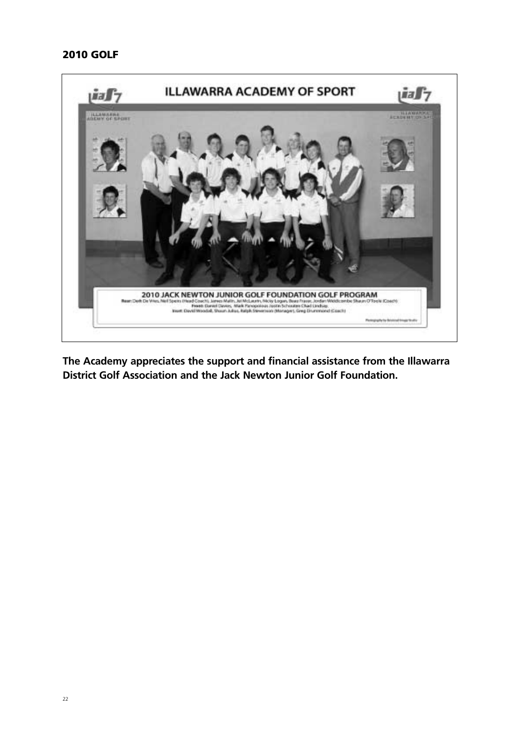## **2010 GOLF**



**The Academy appreciates the support and financial assistance from the Illawarra District Golf Association and the Jack Newton Junior Golf Foundation.**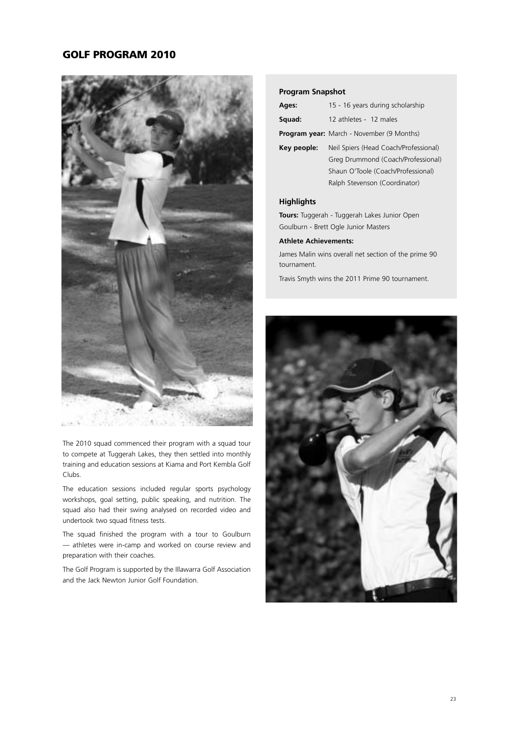## **GOLF PROGRAM 2010**



The 2010 squad commenced their program with a squad tour to compete at Tuggerah Lakes, they then settled into monthly training and education sessions at Kiama and Port Kembla Golf Clubs.

The education sessions included regular sports psychology workshops, goal setting, public speaking, and nutrition. The squad also had their swing analysed on recorded video and undertook two squad fitness tests.

The squad finished the program with a tour to Goulburn — athletes were in-camp and worked on course review and preparation with their coaches.

The Golf Program is supported by the Illawarra Golf Association and the Jack Newton Junior Golf Foundation.

## **Program Snapshot**

|             | Ages:  | 15 - 16 years during scholarship          |  |
|-------------|--------|-------------------------------------------|--|
|             | Squad: | 12 athletes - 12 males                    |  |
|             |        | Program year: March - November (9 Months) |  |
| Key people: |        | Neil Spiers (Head Coach/Professional)     |  |
|             |        | Greg Drummond (Coach/Professional)        |  |
|             |        | Shaun O'Toole (Coach/Professional)        |  |
|             |        | Ralph Stevenson (Coordinator)             |  |
|             |        |                                           |  |

## **Highlights**

**Tours:** Tuggerah - Tuggerah Lakes Junior Open Goulburn - Brett Ogle Junior Masters

#### **Athlete Achievements:**

James Malin wins overall net section of the prime 90 tournament.

Travis Smyth wins the 2011 Prime 90 tournament.

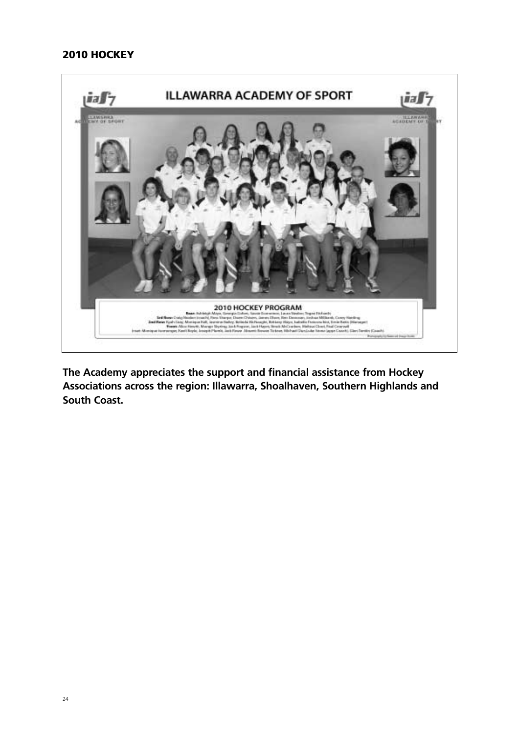## **2010 HOCKEY**



**The Academy appreciates the support and financial assistance from Hockey Associations across the region: Illawarra, Shoalhaven, Southern Highlands and South Coast.**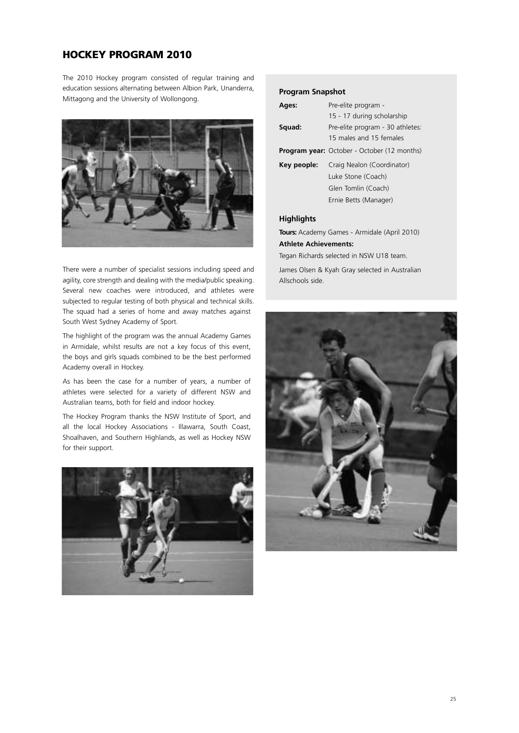## **HOCKEY PROGRAM 2010**

The 2010 Hockey program consisted of regular training and education sessions alternating between Albion Park, Unanderra, Mittagong and the University of Wollongong.



There were a number of specialist sessions including speed and agility, core strength and dealing with the media/public speaking. Several new coaches were introduced, and athletes were subjected to regular testing of both physical and technical skills. The squad had a series of home and away matches against South West Sydney Academy of Sport.

The highlight of the program was the annual Academy Games in Armidale, whilst results are not a key focus of this event, the boys and girls squads combined to be the best performed Academy overall in Hockey.

As has been the case for a number of years, a number of athletes were selected for a variety of different NSW and Australian teams, both for field and indoor hockey.

The Hockey Program thanks the NSW Institute of Sport, and all the local Hockey Associations - Illawarra, South Coast, Shoalhaven, and Southern Highlands, as well as Hockey NSW for their support.



## **Program Snapshot**

| Ages:       | Pre-elite program -                                         |  |
|-------------|-------------------------------------------------------------|--|
|             | 15 - 17 during scholarship                                  |  |
| Squad:      | Pre-elite program - 30 athletes:<br>15 males and 15 females |  |
|             | <b>Program year:</b> October - October (12 months)          |  |
| Key people: | Craig Nealon (Coordinator)                                  |  |
|             | Luke Stone (Coach)                                          |  |
|             | Glen Tomlin (Coach)                                         |  |
|             | Ernie Betts (Manager)                                       |  |
| Hiahliahts  |                                                             |  |

**Tours:** Academy Games - Armidale (April 2010) **Athlete Achievements:**

Tegan Richards selected in NSW U18 team.

James Olsen & Kyah Gray selected in Australian Allschools side.

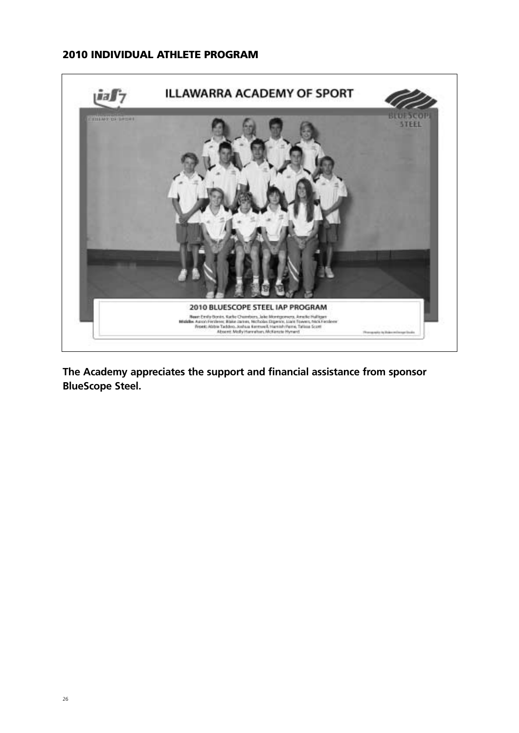# **2010 INDIVIDUAL ATHLETE PROGRAM**



**The Academy appreciates the support and financial assistance from sponsor BlueScope Steel.**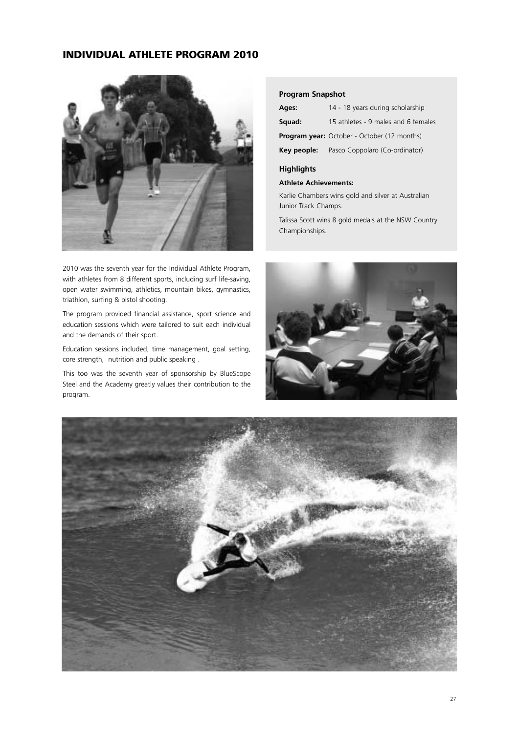## **INDIVIDUAL ATHLETE PROGRAM 2010**



2010 was the seventh year for the Individual Athlete Program, with athletes from 8 different sports, including surf life-saving, open water swimming, athletics, mountain bikes, gymnastics, triathlon, surfing & pistol shooting.

The program provided financial assistance, sport science and education sessions which were tailored to suit each individual and the demands of their sport.

Education sessions included, time management, goal setting, core strength, nutrition and public speaking .

This too was the seventh year of sponsorship by BlueScope Steel and the Academy greatly values their contribution to the program.

#### **Program Snapshot**

| Ages:  | 14 - 18 years during scholarship                   |  |
|--------|----------------------------------------------------|--|
| Squad: | 15 athletes - 9 males and 6 females                |  |
|        | <b>Program year:</b> October - October (12 months) |  |
|        | <b>Key people:</b> Pasco Coppolaro (Co-ordinator)  |  |

## **Highlights**

#### **Athlete Achievements:**

Karlie Chambers wins gold and silver at Australian Junior Track Champs.

Talissa Scott wins 8 gold medals at the NSW Country Championships.



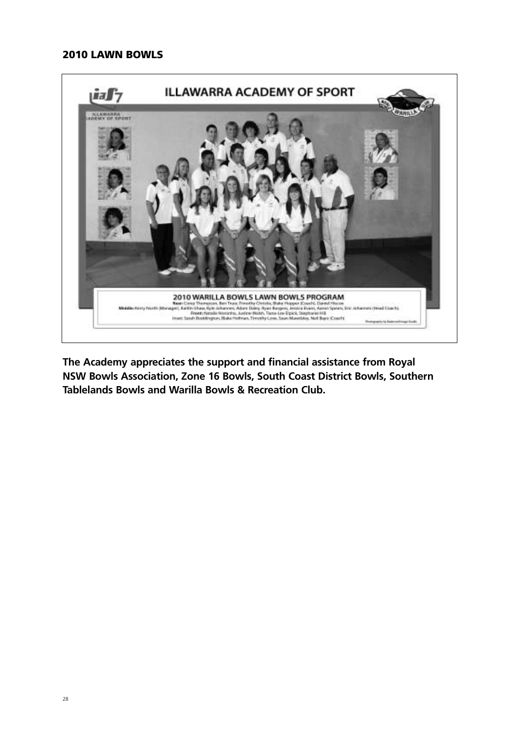## **2010 LAWN BOWLS**



**The Academy appreciates the support and financial assistance from Royal NSW Bowls Association, Zone 16 Bowls, South Coast District Bowls, Southern Tablelands Bowls and Warilla Bowls & Recreation Club.**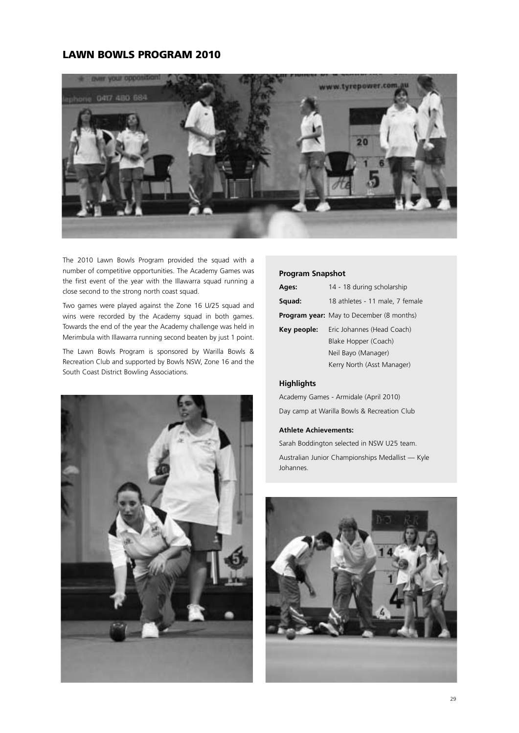## **LAWN BOWLS PROGRAM 2010**



The 2010 Lawn Bowls Program provided the squad with a number of competitive opportunities. The Academy Games was the first event of the year with the Illawarra squad running a close second to the strong north coast squad.

Two games were played against the Zone 16 U/25 squad and wins were recorded by the Academy squad in both games. Towards the end of the year the Academy challenge was held in Merimbula with Illawarra running second beaten by just 1 point.

The Lawn Bowls Program is sponsored by Warilla Bowls & Recreation Club and supported by Bowls NSW, Zone 16 and the South Coast District Bowling Associations.



#### **Program Snapshot**

| Ages:       | 14 - 18 during scholarship                      |  |
|-------------|-------------------------------------------------|--|
| Squad:      | 18 athletes - 11 male, 7 female                 |  |
|             | <b>Program year:</b> May to December (8 months) |  |
| Key people: | Eric Johannes (Head Coach)                      |  |
|             | Blake Hopper (Coach)                            |  |
|             | Neil Bayo (Manager)                             |  |
|             | Kerry North (Asst Manager)                      |  |

## **Highlights**

Academy Games - Armidale (April 2010) Day camp at Warilla Bowls & Recreation Club

#### **Athlete Achievements:**

Sarah Boddington selected in NSW U25 team.

Australian Junior Championships Medallist — Kyle Johannes.

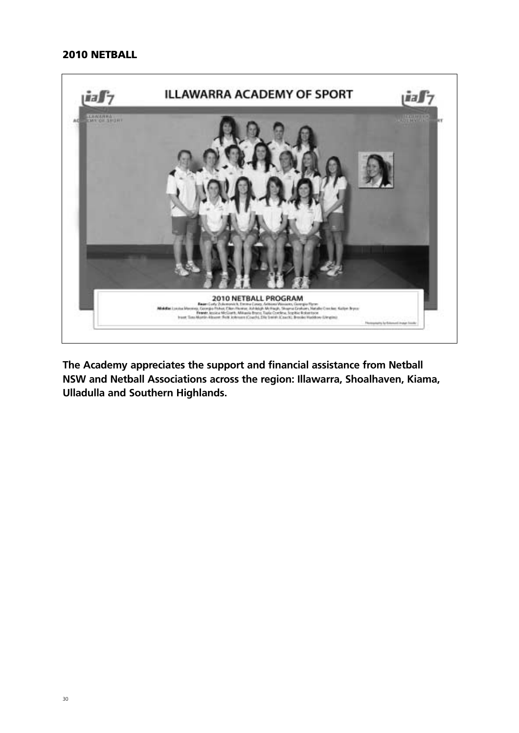## **2010 NETBALL**



**The Academy appreciates the support and financial assistance from Netball NSW and Netball Associations across the region: Illawarra, Shoalhaven, Kiama, Ulladulla and Southern Highlands.**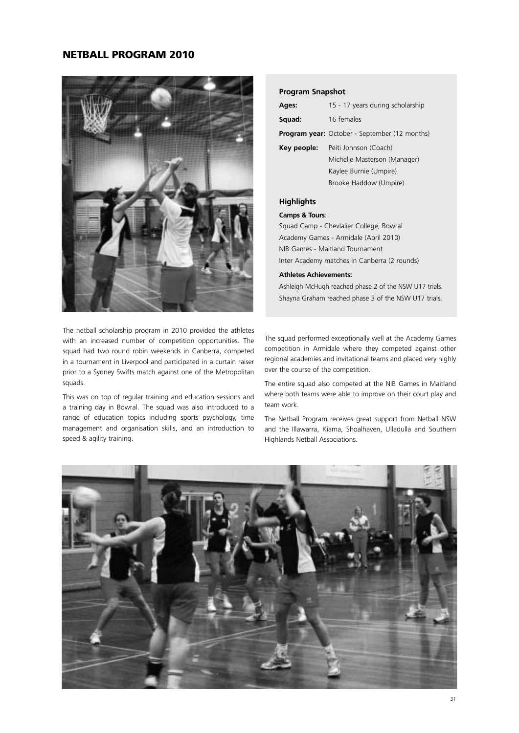## **NETBALL PROGRAM 2010**



The netball scholarship program in 2010 provided the athletes with an increased number of competition opportunities. The squad had two round robin weekends in Canberra, competed in a tournament in Liverpool and participated in a curtain raiser prior to a Sydney Swifts match against one of the Metropolitan squads.

This was on top of regular training and education sessions and a training day in Bowral. The squad was also introduced to a range of education topics including sports psychology, time management and organisation skills, and an introduction to speed & agility training.

#### **Program Snapshot**

| Ages:       | 15 - 17 years during scholarship                     |  |
|-------------|------------------------------------------------------|--|
| Squad:      | 16 females                                           |  |
|             | <b>Program year:</b> October - September (12 months) |  |
| Key people: | Peiti Johnson (Coach)                                |  |
|             | Michelle Masterson (Manager)                         |  |
|             | Kaylee Burnie (Umpire)                               |  |
|             | Brooke Haddow (Umpire)                               |  |
|             |                                                      |  |

## **Highlights**

#### **Camps & Tours**:

Squad Camp - Chevlalier College, Bowral Academy Games - Armidale (April 2010) NIB Games - Maitland Tournament Inter Academy matches in Canberra (2 rounds)

#### **Athletes Achievements:**

Ashleigh McHugh reached phase 2 of the NSW U17 trials. Shayna Graham reached phase 3 of the NSW U17 trials.

The squad performed exceptionally well at the Academy Games competition in Armidale where they competed against other regional academies and invitational teams and placed very highly over the course of the competition.

The entire squad also competed at the NIB Games in Maitland where both teams were able to improve on their court play and team work.

The Netball Program receives great support from Netball NSW and the Illawarra, Kiama, Shoalhaven, Ulladulla and Southern Highlands Netball Associations.

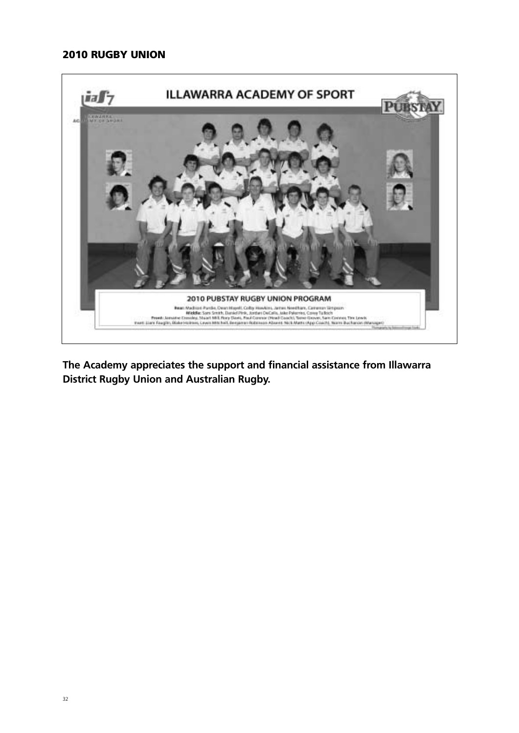## **2010 RUGBY UNION**



**The Academy appreciates the support and financial assistance from Illawarra District Rugby Union and Australian Rugby.**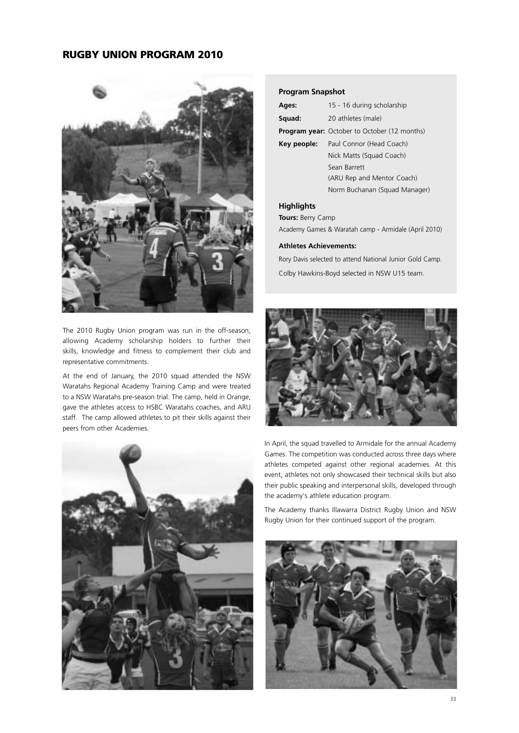## **RUGBY UNION PROGRAM 2010**



The 2010 Rugby Union program was run in the off-season, allowing Academy scholarship holders to further their skills, knowledge and fitness to complement their club and representative commitments.

At the end of January, the 2010 squad attended the NSW Waratahs Regional Academy Training Camp and were treated to a NSW Waratahs pre-season trial. The camp, held in Orange, gave the athletes access to HSBC Waratahs coaches, and ARU staff. The camp allowed athletes to pit their skills against their peers from other Academies.



#### **Program Snapshot**

| Ages:                    | 15 - 16 during scholarship                          |  |  |
|--------------------------|-----------------------------------------------------|--|--|
| Squad:                   | 20 athletes (male)                                  |  |  |
|                          | <b>Program year:</b> October to October (12 months) |  |  |
| Key people:              | Paul Connor (Head Coach)                            |  |  |
| Nick Matts (Squad Coach) |                                                     |  |  |
|                          | Sean Barrett                                        |  |  |
|                          | (ARU Rep and Mentor Coach)                          |  |  |
|                          | Norm Buchanan (Squad Manager)                       |  |  |
|                          |                                                     |  |  |

## **Highlights**

**Tours:** Berry Camp

Academy Games & Waratah camp - Armidale (April 2010)

#### **Athletes Achievements:**

Rory Davis selected to attend National Junior Gold Camp. Colby Hawkins-Boyd selected in NSW U15 team.



In April, the squad travelled to Armidale for the annual Academy Games. The competition was conducted across three days where athletes competed against other regional academies. At this event, athletes not only showcased their technical skills but also their public speaking and interpersonal skills, developed through the academy's athlete education program.

The Academy thanks Illawarra District Rugby Union and NSW Rugby Union for their continued support of the program.

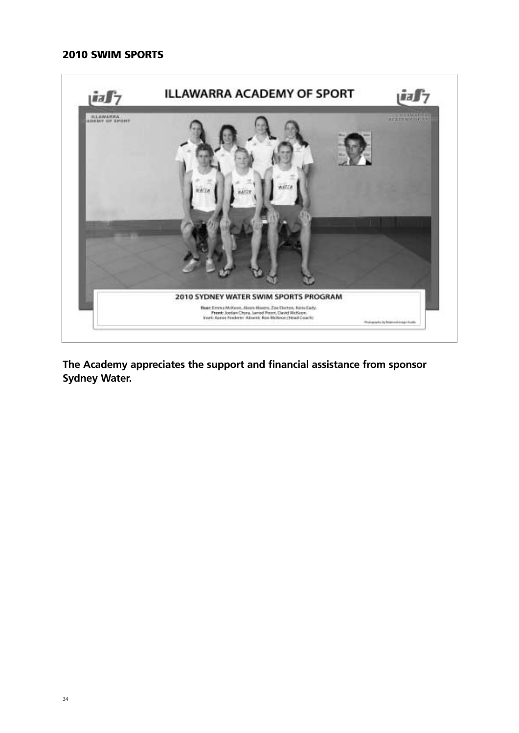## **2010 SWIM SPORTS**



**The Academy appreciates the support and financial assistance from sponsor Sydney Water.**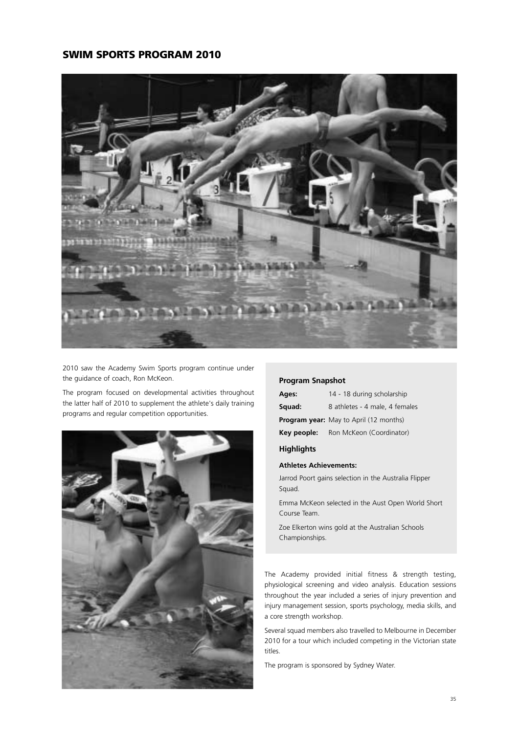## **SWIM SPORTS PROGRAM 2010**



2010 saw the Academy Swim Sports program continue under the guidance of coach, Ron McKeon.

The program focused on developmental activities throughout the latter half of 2010 to supplement the athlete's daily training programs and regular competition opportunities.



#### **Program Snapshot**

| Ages:       | 14 - 18 during scholarship                    |  |
|-------------|-----------------------------------------------|--|
| Squad:      | 8 athletes - 4 male, 4 females                |  |
|             | <b>Program year:</b> May to April (12 months) |  |
| Key people: | Ron McKeon (Coordinator)                      |  |

## **Highlights**

#### **Athletes Achievements:**

Jarrod Poort gains selection in the Australia Flipper Squad.

Emma McKeon selected in the Aust Open World Short Course Team.

Zoe Elkerton wins gold at the Australian Schools Championships.

The Academy provided initial fitness & strength testing, physiological screening and video analysis. Education sessions throughout the year included a series of injury prevention and injury management session, sports psychology, media skills, and a core strength workshop.

Several squad members also travelled to Melbourne in December 2010 for a tour which included competing in the Victorian state titles.

The program is sponsored by Sydney Water.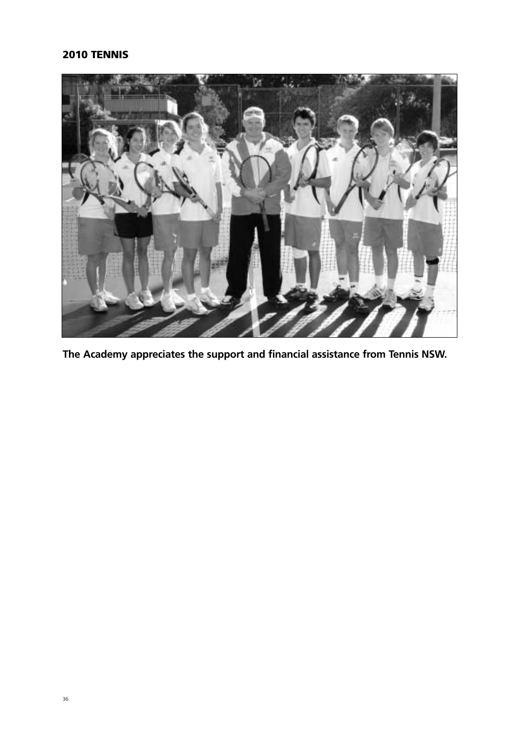# **2010 TENNIS**



**The Academy appreciates the support and financial assistance from Tennis NSW.**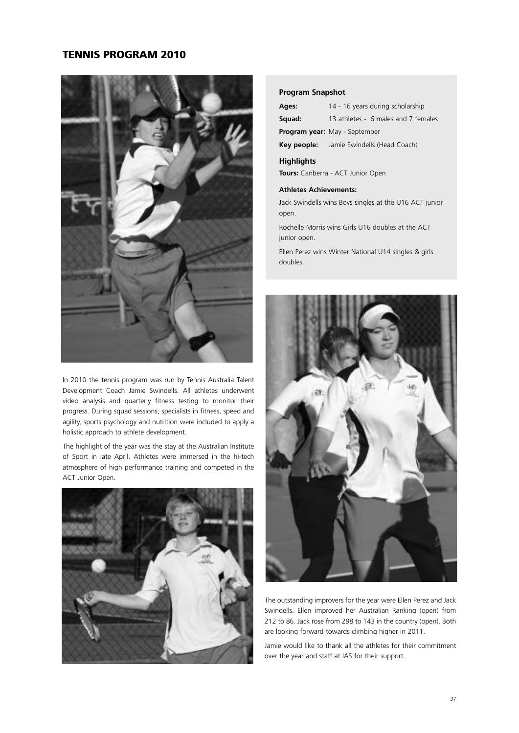## **TENNIS PROGRAM 2010**



In 2010 the tennis program was run by Tennis Australia Talent Development Coach Jamie Swindells. All athletes underwent video analysis and quarterly fitness testing to monitor their progress. During squad sessions, specialists in fitness, speed and agility, sports psychology and nutrition were included to apply a holistic approach to athlete development.

The highlight of the year was the stay at the Australian Institute of Sport in late April. Athletes were immersed in the hi-tech atmosphere of high performance training and competed in the ACT Junior Open.



#### **Program Snapshot**

**Squad:** 13 athletes - 6 males and 7 females

**Program year:** May - September

**Key people:** Jamie Swindells (Head Coach)

## **Highlights**

**Tours:** Canberra - ACT Junior Open

#### **Athletes Achievements:**

Jack Swindells wins Boys singles at the U16 ACT junior open.

Rochelle Morris wins Girls U16 doubles at the ACT junior open.

Ellen Perez wins Winter National U14 singles & girls doubles.



The outstanding improvers for the year were Ellen Perez and Jack Swindells. Ellen improved her Australian Ranking (open) from 212 to 86. Jack rose from 298 to 143 in the country (open). Both are looking forward towards climbing higher in 2011.

Jamie would like to thank all the athletes for their commitment over the year and staff at IAS for their support.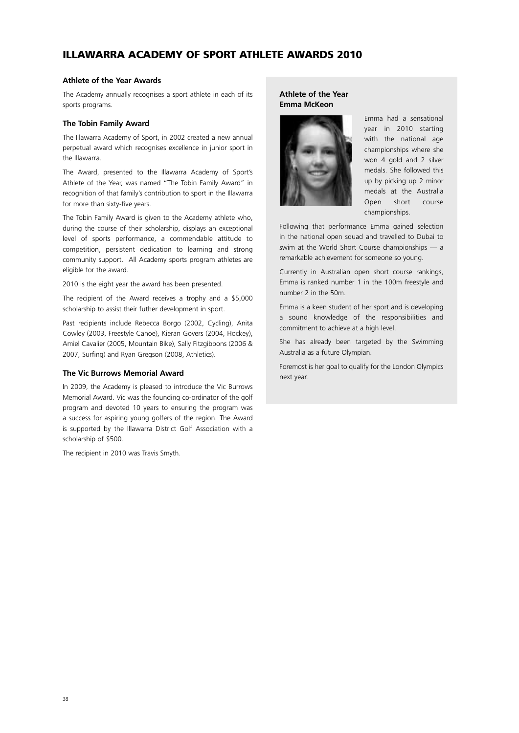## **ILLAWARRA ACADEMY OF SPORT ATHLETE AWARDS 2010**

#### **Athlete of the Year Awards**

The Academy annually recognises a sport athlete in each of its sports programs.

#### **The Tobin Family Award**

The Illawarra Academy of Sport, in 2002 created a new annual perpetual award which recognises excellence in junior sport in the Illawarra.

The Award, presented to the Illawarra Academy of Sport's Athlete of the Year, was named "The Tobin Family Award" in recognition of that family's contribution to sport in the Illawarra for more than sixty-five years.

The Tobin Family Award is given to the Academy athlete who, during the course of their scholarship, displays an exceptional level of sports performance, a commendable attitude to competition, persistent dedication to learning and strong community support. All Academy sports program athletes are eligible for the award.

2010 is the eight year the award has been presented.

The recipient of the Award receives a trophy and a \$5,000 scholarship to assist their futher development in sport.

Past recipients include Rebecca Borgo (2002, Cycling), Anita Cowley (2003, Freestyle Canoe), Kieran Govers (2004, Hockey), Amiel Cavalier (2005, Mountain Bike), Sally Fitzgibbons (2006 & 2007, Surfing) and Ryan Gregson (2008, Athletics).

#### **The Vic Burrows Memorial Award**

In 2009, the Academy is pleased to introduce the Vic Burrows Memorial Award. Vic was the founding co-ordinator of the golf program and devoted 10 years to ensuring the program was a success for aspiring young golfers of the region. The Award is supported by the Illawarra District Golf Association with a scholarship of \$500.

The recipient in 2010 was Travis Smyth.

## **Athlete of the Year Emma McKeon**



Emma had a sensational year in 2010 starting with the national age championships where she won 4 gold and 2 silver medals. She followed this up by picking up 2 minor medals at the Australia Open short course championships.

Following that performance Emma gained selection in the national open squad and travelled to Dubai to swim at the World Short Course championships — a remarkable achievement for someone so young.

Currently in Australian open short course rankings, Emma is ranked number 1 in the 100m freestyle and number 2 in the 50m.

Emma is a keen student of her sport and is developing a sound knowledge of the responsibilities and commitment to achieve at a high level.

She has already been targeted by the Swimming Australia as a future Olympian.

Foremost is her goal to qualify for the London Olympics next year.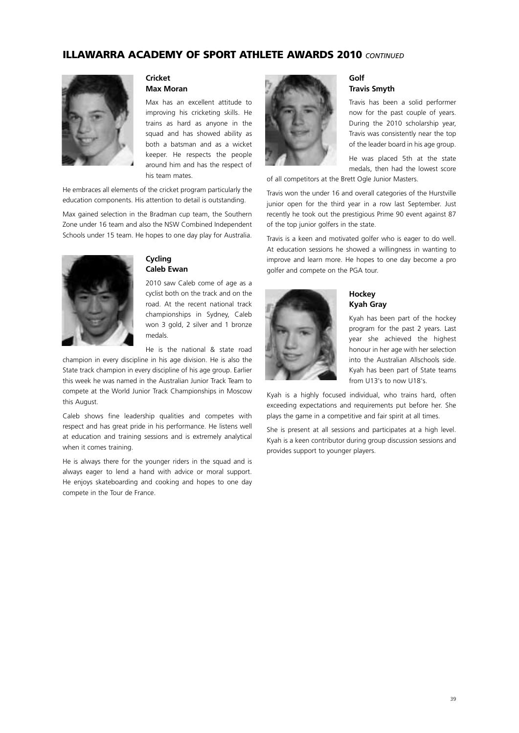## **ILLAWARRA ACADEMY OF SPORT ATHLETE AWARDS 2010** *CONTINUED*



#### **Cricket Max Moran**

Max has an excellent attitude to improving his cricketing skills. He trains as hard as anyone in the squad and has showed ability as both a batsman and as a wicket keeper. He respects the people around him and has the respect of his team mates.

He embraces all elements of the cricket program particularly the education components. His attention to detail is outstanding.

Max gained selection in the Bradman cup team, the Southern Zone under 16 team and also the NSW Combined Independent Schools under 15 team. He hopes to one day play for Australia.



## **Cycling Caleb Ewan**

2010 saw Caleb come of age as a cyclist both on the track and on the road. At the recent national track championships in Sydney, Caleb won 3 gold, 2 silver and 1 bronze medals.

He is the national & state road

champion in every discipline in his age division. He is also the State track champion in every discipline of his age group. Earlier this week he was named in the Australian Junior Track Team to compete at the World Junior Track Championships in Moscow this August.

Caleb shows fine leadership qualities and competes with respect and has great pride in his performance. He listens well at education and training sessions and is extremely analytical when it comes training.

He is always there for the younger riders in the squad and is always eager to lend a hand with advice or moral support. He enjoys skateboarding and cooking and hopes to one day compete in the Tour de France.



#### **Golf Travis Smyth**

Travis has been a solid performer now for the past couple of years. During the 2010 scholarship year, Travis was consistently near the top of the leader board in his age group.

He was placed 5th at the state medals, then had the lowest score

of all competitors at the Brett Ogle Junior Masters.

Travis won the under 16 and overall categories of the Hurstville junior open for the third year in a row last September. Just recently he took out the prestigious Prime 90 event against 87 of the top junior golfers in the state.

Travis is a keen and motivated golfer who is eager to do well. At education sessions he showed a willingness in wanting to improve and learn more. He hopes to one day become a pro golfer and compete on the PGA tour.



#### **Hockey Kyah Gray**

Kyah has been part of the hockey program for the past 2 years. Last year she achieved the highest honour in her age with her selection into the Australian Allschools side. Kyah has been part of State teams from U13's to now U18's.

Kyah is a highly focused individual, who trains hard, often exceeding expectations and requirements put before her. She plays the game in a competitive and fair spirit at all times.

She is present at all sessions and participates at a high level. Kyah is a keen contributor during group discussion sessions and provides support to younger players.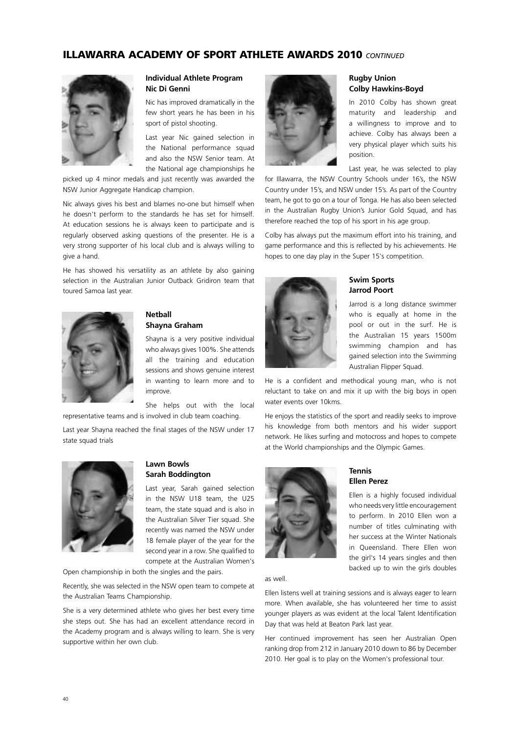## **ILLAWARRA ACADEMY OF SPORT ATHLETE AWARDS 2010** *CONTINUED*



## **Individual Athlete Program Nic Di Genni**

Nic has improved dramatically in the few short years he has been in his sport of pistol shooting.

Last year Nic gained selection in the National performance squad and also the NSW Senior team. At the National age championships he

picked up 4 minor medals and just recently was awarded the NSW Junior Aggregate Handicap champion.

Nic always gives his best and blames no-one but himself when he doesn't perform to the standards he has set for himself. At education sessions he is always keen to participate and is regularly observed asking questions of the presenter. He is a very strong supporter of his local club and is always willing to give a hand.

He has showed his versatility as an athlete by also gaining selection in the Australian Junior Outback Gridiron team that toured Samoa last year.



#### **Netball Shayna Graham**

Shayna is a very positive individual who always gives 100%. She attends all the training and education sessions and shows genuine interest in wanting to learn more and to improve.

She helps out with the local representative teams and is involved in club team coaching.

Last year Shayna reached the final stages of the NSW under 17 state squad trials



## **Lawn Bowls Sarah Boddington**

Last year, Sarah gained selection in the NSW U18 team, the U25 team, the state squad and is also in the Australian Silver Tier squad. She recently was named the NSW under 18 female player of the year for the second year in a row. She qualified to compete at the Australian Women's

Open championship in both the singles and the pairs.

Recently, she was selected in the NSW open team to compete at the Australian Teams Championship.

She is a very determined athlete who gives her best every time she steps out. She has had an excellent attendance record in the Academy program and is always willing to learn. She is very supportive within her own club.



#### **Rugby Union Colby Hawkins-Boyd**

In 2010 Colby has shown great maturity and leadership and a willingness to improve and to achieve. Colby has always been a very physical player which suits his position.

Last year, he was selected to play

for Illawarra, the NSW Country Schools under 16's, the NSW Country under 15's, and NSW under 15's. As part of the Country team, he got to go on a tour of Tonga. He has also been selected in the Australian Rugby Union's Junior Gold Squad, and has therefore reached the top of his sport in his age group.

Colby has always put the maximum effort into his training, and game performance and this is reflected by his achievements. He hopes to one day play in the Super 15's competition.



## **Swim Sports Jarrod Poort**

Jarrod is a long distance swimmer who is equally at home in the pool or out in the surf. He is the Australian 15 years 1500m swimming champion and has gained selection into the Swimming Australian Flipper Squad.

He is a confident and methodical young man, who is not reluctant to take on and mix it up with the big boys in open water events over 10kms.

He enjoys the statistics of the sport and readily seeks to improve his knowledge from both mentors and his wider support network. He likes surfing and motocross and hopes to compete at the World championships and the Olympic Games.



## **Tennis Ellen Perez**

Ellen is a highly focused individual who needs very little encouragement to perform. In 2010 Ellen won a number of titles culminating with her success at the Winter Nationals in Queensland. There Ellen won the girl's 14 years singles and then backed up to win the girls doubles

as well.

Ellen listens well at training sessions and is always eager to learn more. When available, she has volunteered her time to assist younger players as was evident at the local Talent Identification Day that was held at Beaton Park last year.

Her continued improvement has seen her Australian Open ranking drop from 212 in January 2010 down to 86 by December 2010. Her goal is to play on the Women's professional tour.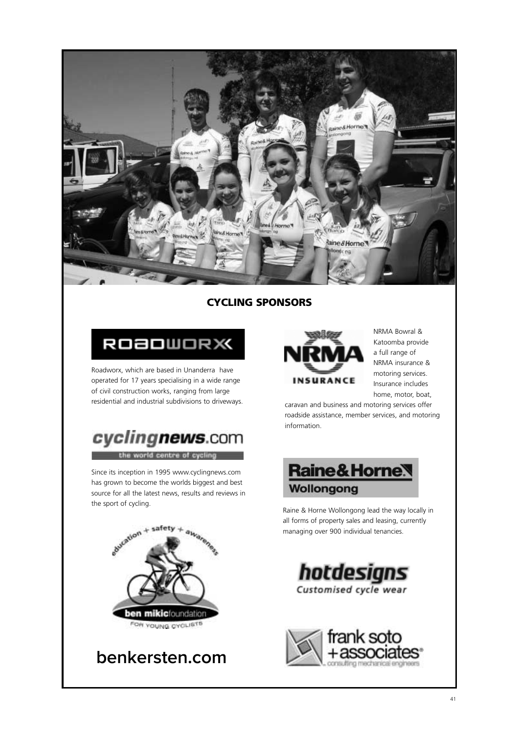

## **CYCLING SPONSORS**



Roadworx, which are based in Unanderra have operated for 17 years specialising in a wide range of civil construction works, ranging from large residential and industrial subdivisions to driveways.



Since its inception in 1995 www.cyclingnews.com has grown to become the worlds biggest and best source for all the latest news, results and reviews in the sport of cycling.



**benkersten.com**



NRMA Bowral & Katoomba provide a full range of NRMA insurance & motoring services. Insurance includes home, motor, boat,

caravan and business and motoring services offer roadside assistance, member services, and motoring information.



Raine & Horne Wollongong lead the way locally in all forms of property sales and leasing, currently managing over 900 individual tenancies.



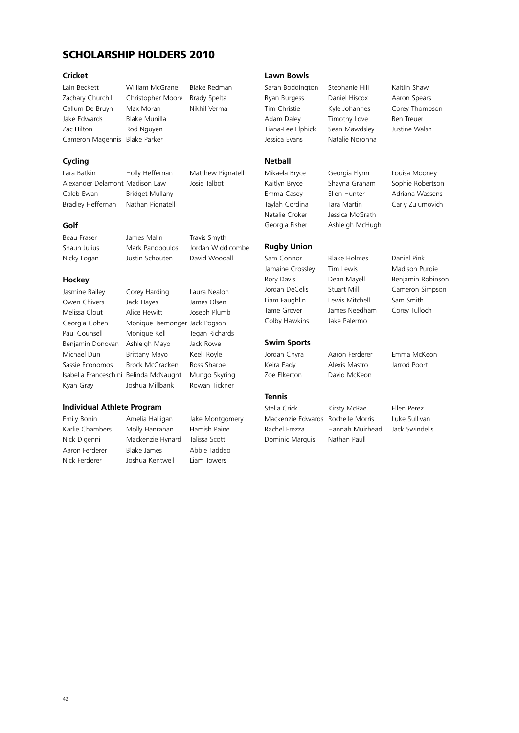## **SCHOLARSHIP HOLDERS 2010**

#### **Cricket**

Zachary Churchill Christopher Moore Brady Spelta Callum De Bruyn Max Moran Nikhil Verma Jake Edwards Blake Munilla Zac Hilton Rod Nguyen Cameron Magennis Blake Parker

Lain Beckett William McGrane Blake Redman

## **Cycling**

Alexander Delamont Madison Law Josie Talbot Caleb Ewan Bridget Mullany Bradley Heffernan Nathan Pignatelli

Lara Batkin **Holly Heffernan** Matthew Pignatelli

## **Golf**

Beau Fraser James Malin Travis Smyth Shaun Julius Mark Panopoulos Jordan Widdicombe Nicky Logan Justin Schouten David Woodall

#### **Hockey**

Isabella Franceschini Belinda McNaught Mungo Skyring Kyah Gray Joshua Millbank Rowan Tickner

## Jasmine Bailey Corey Harding Laura Nealon Owen Chivers Jack Hayes James Olsen Melissa Clout Alice Hewitt Joseph Plumb Georgia Cohen Monique Isemonger Jack Pogson Paul Counsell Monique Kell Tegan Richards Benjamin Donovan Ashleigh Mayo Jack Rowe Michael Dun Brittany Mayo Keeli Royle Sassie Economos Brock McCracken Ross Sharpe

#### **Individual Athlete Program**

Emily Bonin Amelia Halligan Jake Montgomery Karlie Chambers Molly Hanrahan Hamish Paine Nick Digenni Mackenzie Hynard Talissa Scott Aaron Ferderer Blake James Abbie Taddeo Nick Ferderer Joshua Kentwell Liam Towers

**Lawn Bowls**

Sarah Boddington Stephanie Hili Kaitlin Shaw Ryan Burgess Daniel Hiscox Aaron Spears Adam Daley Timothy Love Ben Treuer Tiana-Lee Elphick Sean Mawdsley Justine Walsh Jessica Evans Natalie Noronha

## **Netball**

Natalie Croker Jessica McGrath Georgia Fisher Ashleigh McHugh

## **Rugby Union**

Liam Faughlin Lewis Mitchell Sam Smith Tame Grover James Needham Corey Tulloch Colby Hawkins Jake Palermo

# **Swim Sports**

Keira Eady Alexis Mastro Jarrod Poort Zoe Elkerton David McKeon

## **Tennis**

Rachel Frezza Hannah Muirhead Jack Swindells Dominic Marquis Nathan Paull

Stella Crick Kirsty McRae Ellen Perez Mackenzie Edwards Rochelle Morris Luke Sullivan

Tim Christie Kyle Johannes Corey Thompson

Mikaela Bryce Georgia Flynn Louisa Mooney Kaitlyn Bryce Shayna Graham Sophie Robertson Emma Casey Ellen Hunter Adriana Wassens Taylah Cordina Tara Martin Carly Zulumovich

Sam Connor Blake Holmes Daniel Pink Jamaine Crossley Tim Lewis Madison Purdie Rory Davis **Dean Mayell** Benjamin Robinson Jordan DeCelis Stuart Mill Cameron Simpson

Jordan Chyra Aaron Ferderer Emma McKeon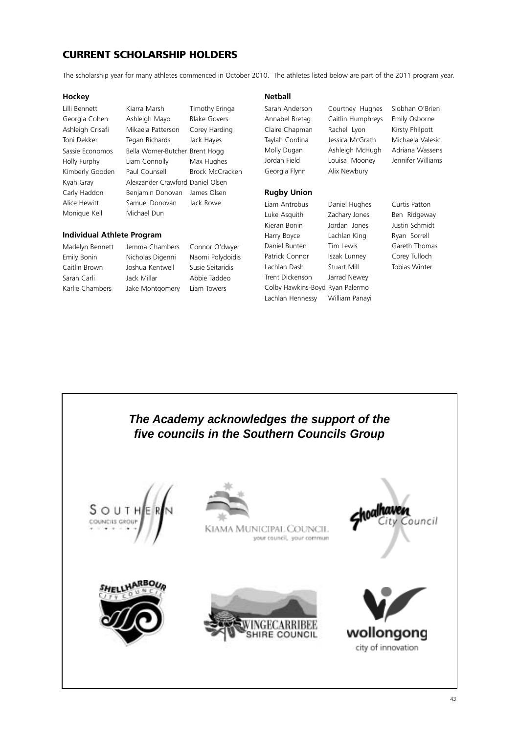## **CURRENT SCHOLARSHIP HOLDERS**

The scholarship year for many athletes commenced in October 2010. The athletes listed below are part of the 2011 program year.

#### **Hockey**

Lilli Bennett Kiarra Marsh Timothy Eringa Georgia Cohen Ashleigh Mayo Blake Govers Ashleigh Crisafi Mikaela Patterson Corey Harding Toni Dekker Tegan Richards Jack Hayes Sassie Economos Bella Worner-Butcher Brent Hogg Holly Furphy Liam Connolly Max Hughes Kimberly Gooden Paul Counsell Brock McCracken Kyah Gray Alexzander Crawford Daniel Olsen Carly Haddon Benjamin Donovan James Olsen Alice Hewitt Samuel Donovan Jack Rowe Monique Kell Michael Dun

#### **Individual Athlete Program**

Madelyn Bennett Jemma Chambers Connor O'dwyer Emily Bonin Nicholas Digenni Naomi Polydoidis Caitlin Brown Joshua Kentwell Susie Seitaridis Sarah Carli **Jack Millar** Abbie Taddeo Karlie Chambers Jake Montgomery Liam Towers

#### **Netball**

Georgia Flynn Alix Newbury

#### **Rugby Union**

Liam Antrobus Daniel Hughes Curtis Patton Luke Asquith Zachary Jones Ben Ridgeway Kieran Bonin Jordan Jones Justin Schmidt Harry Boyce Lachlan King Ryan Sorrell Daniel Bunten Tim Lewis Gareth Thomas Patrick Connor Iszak Lunney Corey Tulloch Lachlan Dash Stuart Mill Tobias Winter Trent Dickenson Jarrad Newey Colby Hawkins-Boyd Ryan Palermo Lachlan Hennessy William Panayi

Sarah Anderson Courtney Hughes Siobhan O'Brien Annabel Bretag Caitlin Humphreys Emily Osborne Claire Chapman Rachel Lyon Kirsty Philpott Taylah Cordina Jessica McGrath Michaela Valesic Molly Dugan Ashleigh McHugh Adriana Wassens Jordan Field Louisa Mooney Jennifer Williams



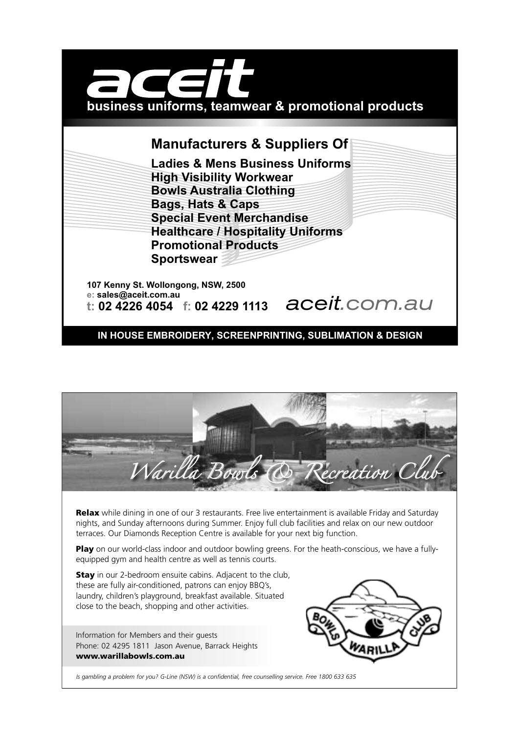

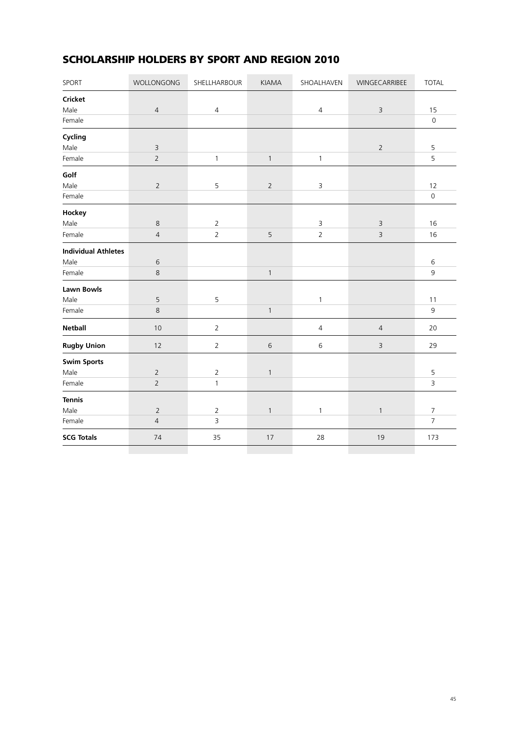# **SCHOLARSHIP HOLDERS BY SPORT AND REGION 2010**

| SPORT                      | WOLLONGONG     | SHELLHARBOUR   | <b>KIAMA</b>   | SHOALHAVEN     | WINGECARRIBEE  | <b>TOTAL</b>        |
|----------------------------|----------------|----------------|----------------|----------------|----------------|---------------------|
| <b>Cricket</b>             |                |                |                |                |                |                     |
| Male                       | $\sqrt{4}$     | $\overline{4}$ |                | $\overline{4}$ | $\mathsf 3$    | 15                  |
| Female                     |                |                |                |                |                | $\mathsf{O}$        |
| Cycling                    |                |                |                |                |                |                     |
| Male                       | $\mathsf 3$    |                |                |                | $\overline{2}$ | 5                   |
| Female                     | $\mathbf 2$    | $\mathbf{1}$   | $\mathbf{1}$   | $\mathbf{1}$   |                | 5                   |
| Golf                       |                |                |                |                |                |                     |
| Male                       | $\overline{2}$ | 5              | $\overline{2}$ | 3              |                | 12                  |
| Female                     |                |                |                |                |                | $\mathsf{O}\xspace$ |
| Hockey                     |                |                |                |                |                |                     |
| Male                       | $\,8\,$        | $\overline{2}$ |                | 3              | $\mathsf 3$    | 16                  |
| Female                     | $\sqrt{4}$     | $\overline{2}$ | 5              | $\overline{2}$ | $\mathsf 3$    | 16                  |
| <b>Individual Athletes</b> |                |                |                |                |                |                     |
| Male                       | $\,$ 6 $\,$    |                |                |                |                | 6                   |
| Female                     | $\,8\,$        |                | $\mathbf{1}$   |                |                | 9                   |
| Lawn Bowls                 |                |                |                |                |                |                     |
| Male                       | $\mathsf S$    | 5              |                | $\mathbf{1}$   |                | 11                  |
| Female                     | 8              |                | $\mathbf{1}$   |                |                | 9                   |
| <b>Netball</b>             | 10             | $\overline{2}$ |                | $\sqrt{4}$     | $\overline{4}$ | 20                  |
| <b>Rugby Union</b>         | 12             | $\overline{2}$ | $\sqrt{6}$     | $\,$ 6 $\,$    | $\mathsf 3$    | 29                  |
| <b>Swim Sports</b>         |                |                |                |                |                |                     |
| Male                       | $\sqrt{2}$     | $\overline{2}$ | $\mathbf{1}$   |                |                | 5                   |
| Female                     | $\overline{2}$ | $\mathbf{1}$   |                |                |                | 3                   |
| <b>Tennis</b>              |                |                |                |                |                |                     |
| Male                       | $\sqrt{2}$     | $\overline{2}$ | $\mathbf{1}$   | $\mathbf{1}$   | $\mathbf{1}$   | 7                   |
| Female                     | $\sqrt{4}$     | 3              |                |                |                | $\overline{7}$      |
| <b>SCG Totals</b>          | 74             | 35             | 17             | 28             | 19             | 173                 |
|                            |                |                |                |                |                |                     |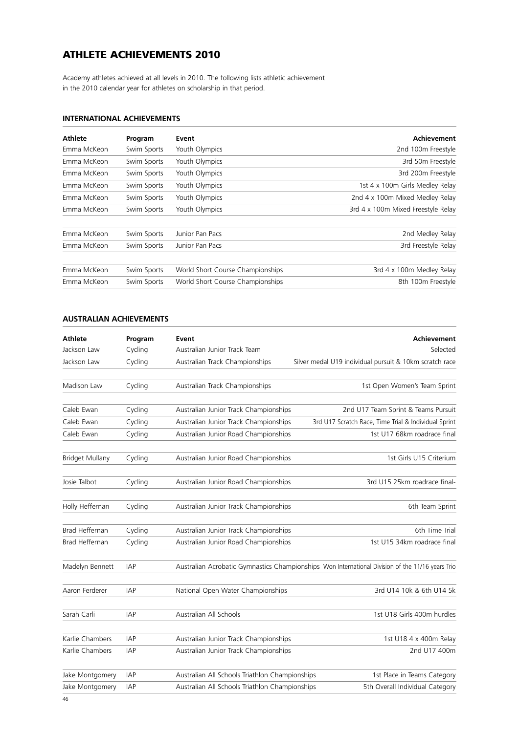## **ATHLETE ACHIEVEMENTS 2010**

Academy athletes achieved at all levels in 2010. The following lists athletic achievement in the 2010 calendar year for athletes on scholarship in that period.

### **INTERNATIONAL ACHIEVEMENTS**

| <b>Athlete</b> | Program     | Event                            | Achievement                        |
|----------------|-------------|----------------------------------|------------------------------------|
| Emma McKeon    | Swim Sports | Youth Olympics                   | 2nd 100m Freestyle                 |
| Emma McKeon    | Swim Sports | Youth Olympics                   | 3rd 50m Freestyle                  |
| Emma McKeon    | Swim Sports | Youth Olympics                   | 3rd 200m Freestyle                 |
| Emma McKeon    | Swim Sports | Youth Olympics                   | 1st 4 x 100m Girls Medley Relay    |
| Emma McKeon    | Swim Sports | Youth Olympics                   | 2nd 4 x 100m Mixed Medley Relay    |
| Emma McKeon    | Swim Sports | Youth Olympics                   | 3rd 4 x 100m Mixed Freestyle Relay |
| Emma McKeon    | Swim Sports | Junior Pan Pacs                  | 2nd Medley Relay                   |
| Emma McKeon    | Swim Sports | Junior Pan Pacs                  | 3rd Freestyle Relay                |
| Emma McKeon    | Swim Sports | World Short Course Championships | 3rd 4 x 100m Medley Relay          |
| Emma McKeon    | Swim Sports | World Short Course Championships | 8th 100m Freestyle                 |

## **AUSTRALIAN ACHIEVEMENTS**

| <b>Athlete</b>         | Program    | Event                                          | <b>Achievement</b>                                                                               |
|------------------------|------------|------------------------------------------------|--------------------------------------------------------------------------------------------------|
| Jackson Law            | Cycling    | Australian Junior Track Team                   | Selected                                                                                         |
| Jackson Law            | Cycling    | Australian Track Championships                 | Silver medal U19 individual pursuit & 10km scratch race                                          |
| Madison Law            | Cycling    | Australian Track Championships                 | 1st Open Women's Team Sprint                                                                     |
| Caleb Ewan             | Cycling    | Australian Junior Track Championships          | 2nd U17 Team Sprint & Teams Pursuit                                                              |
| Caleb Ewan             | Cycling    | Australian Junior Track Championships          | 3rd U17 Scratch Race, Time Trial & Individual Sprint                                             |
| Caleb Ewan             | Cycling    | Australian Junior Road Championships           | 1st U17 68km roadrace final                                                                      |
| <b>Bridget Mullany</b> | Cycling    | Australian Junior Road Championships           | 1st Girls U15 Criterium                                                                          |
| Josie Talbot           | Cycling    | Australian Junior Road Championships           | 3rd U15 25km roadrace final-                                                                     |
| Holly Heffernan        | Cycling    | Australian Junior Track Championships          | 6th Team Sprint                                                                                  |
| <b>Brad Heffernan</b>  | Cycling    | Australian Junior Track Championships          | 6th Time Trial                                                                                   |
| Brad Heffernan         | Cycling    | Australian Junior Road Championships           | 1st U15 34km roadrace final                                                                      |
| Madelyn Bennett        | <b>IAP</b> |                                                | Australian Acrobatic Gymnastics Championships Won International Division of the 11/16 years Trio |
| Aaron Ferderer         | <b>IAP</b> | National Open Water Championships              | 3rd U14 10k & 6th U14 5k                                                                         |
| Sarah Carli            | <b>IAP</b> | Australian All Schools                         | 1st U18 Girls 400m hurdles                                                                       |
| Karlie Chambers        | IAP        | Australian Junior Track Championships          | 1st U18 4 x 400m Relay                                                                           |
| Karlie Chambers        | <b>IAP</b> | Australian Junior Track Championships          | 2nd U17 400m                                                                                     |
| Jake Montgomery        | <b>IAP</b> | Australian All Schools Triathlon Championships | 1st Place in Teams Category                                                                      |
| Jake Montgomery        | <b>IAP</b> | Australian All Schools Triathlon Championships | 5th Overall Individual Category                                                                  |
|                        |            |                                                |                                                                                                  |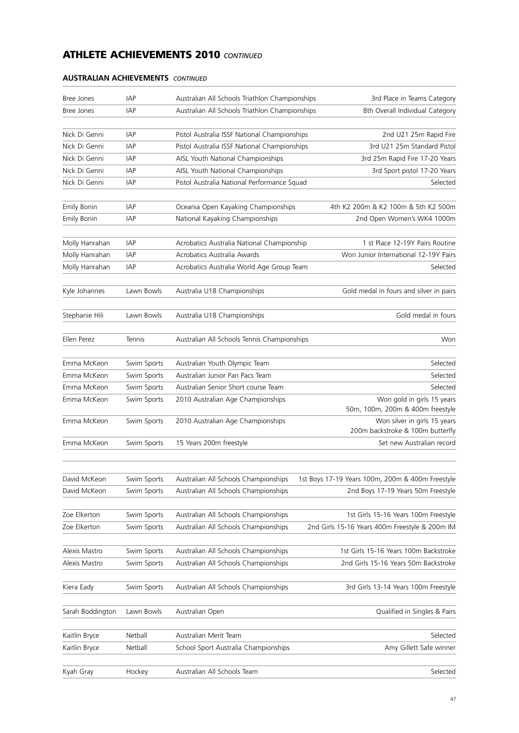## **AUSTRALIAN ACHIEVEMENTS** *CONTINUED*

| Bree Jones         | <b>IAP</b>  | Australian All Schools Triathlon Championships | 3rd Place in Teams Category                                      |
|--------------------|-------------|------------------------------------------------|------------------------------------------------------------------|
| Bree Jones         | IAP         | Australian All Schools Triathlon Championships | 8th Overall Individual Category                                  |
| Nick Di Genni      | <b>IAP</b>  | Pistol Australia ISSF National Championships   | 2nd U21 25m Rapid Fire                                           |
| Nick Di Genni      | <b>IAP</b>  | Pistol Australia ISSF National Championships   | 3rd U21 25m Standard Pistol                                      |
| Nick Di Genni      | IAP         | AISL Youth National Championships              | 3rd 25m Rapid Fire 17-20 Years                                   |
| Nick Di Genni      | <b>IAP</b>  | AISL Youth National Championships              | 3rd Sport pistol 17-20 Years                                     |
| Nick Di Genni      | IAP         | Pistol Australia National Performance Squad    | Selected                                                         |
| Emily Bonin        | <b>IAP</b>  | Oceania Open Kayaking Championships            | 4th K2 200m & K2 100m & 5th K2 500m                              |
| <b>Emily Bonin</b> | IAP         | National Kayaking Championships                | 2nd Open Women's WK4 1000m                                       |
| Molly Hanrahan     | <b>IAP</b>  | Acrobatics Australia National Championship     | 1 st Place 12-19Y Pairs Routine                                  |
| Molly Hanrahan     | <b>IAP</b>  | Acrobatics Australia Awards                    | Won Junior International 12-19Y Pairs                            |
| Molly Hanrahan     | IAP         | Acrobatics Australia World Age Group Team      | Selected                                                         |
| Kyle Johannes      | Lawn Bowls  | Australia U18 Championships                    | Gold medal in fours and silver in pairs                          |
| Stephanie Hili     | Lawn Bowls  | Australia U18 Championships                    | Gold medal in fours                                              |
| Ellen Perez        | Tennis      | Australian All Schools Tennis Championships    | Won                                                              |
| Emma McKeon        | Swim Sports | Australian Youth Olympic Team                  | Selected                                                         |
| Emma McKeon        | Swim Sports | Australian Junior Pan Pacs Team                | Selected                                                         |
| Emma McKeon        | Swim Sports | Australian Senior Short course Team            | Selected                                                         |
| Emma McKeon        | Swim Sports | 2010 Australian Age Championships              | Won gold in girls 15 years<br>50m, 100m, 200m & 400m freestyle   |
| Emma McKeon        | Swim Sports | 2010 Australian Age Championships              | Won silver in girls 15 years<br>200m backstroke & 100m butterfly |
| Emma McKeon        | Swim Sports | 15 Years 200m freestyle                        | Set new Australian record                                        |
|                    |             |                                                |                                                                  |
| David McKeon       | Swim Sports | Australian All Schools Championships           | 1st Boys 17-19 Years 100m, 200m & 400m Freestyle                 |
| David McKeon       | Swim Sports | Australian All Schools Championships           | 2nd Boys 17-19 Years 50m Freestyle                               |
| Zoe Elkerton       | Swim Sports | Australian All Schools Championships           | 1st Girls 15-16 Years 100m Freestyle                             |
| Zoe Elkerton       | Swim Sports | Australian All Schools Championships           | 2nd Girls 15-16 Years 400m Freestyle & 200m IM                   |
| Alexis Mastro      | Swim Sports | Australian All Schools Championships           | 1st Girls 15-16 Years 100m Backstroke                            |
| Alexis Mastro      | Swim Sports | Australian All Schools Championships           | 2nd Girls 15-16 Years 50m Backstroke                             |
| Kiera Eady         | Swim Sports | Australian All Schools Championships           | 3rd Girls 13-14 Years 100m Freestyle                             |
| Sarah Boddington   | Lawn Bowls  | Australian Open                                | Qualified in Singles & Pairs                                     |
| Kaitlin Bryce      | Netball     | Australian Merit Team                          | Selected                                                         |
| Kaitlin Bryce      | Netball     | School Sport Australia Championships           | Amy Gillett Safe winner                                          |
| Kyah Gray          | Hockey      | Australian All Schools Team                    | Selected                                                         |
|                    |             |                                                |                                                                  |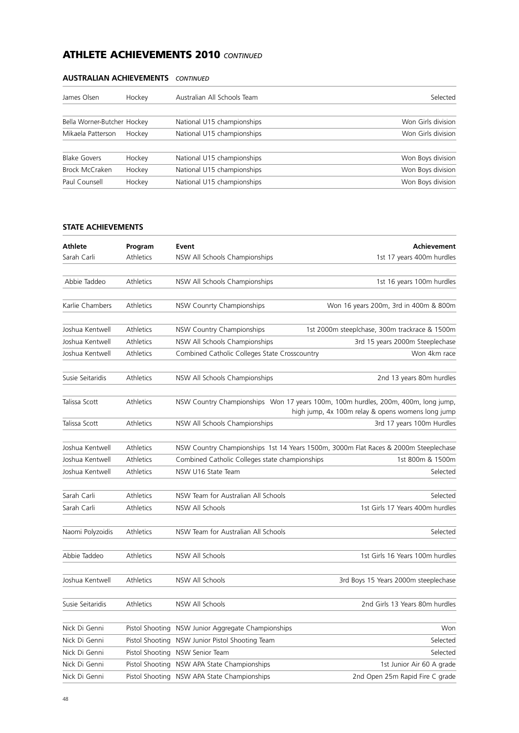| James Olsen                 | Hockey | Australian All Schools Team | Selected           |
|-----------------------------|--------|-----------------------------|--------------------|
| Bella Worner-Butcher Hockey |        | National U15 championships  | Won Girls division |
| Mikaela Patterson           | Hockey | National U15 championships  | Won Girls division |
| <b>Blake Govers</b>         | Hockey | National U15 championships  | Won Boys division  |
| Brock McCraken              | Hockey | National U15 championships  | Won Boys division  |
| Paul Counsell               | Hockey | National U15 championships  | Won Boys division  |

## **AUSTRALIAN ACHIEVEMENTS** *CONTINUED*

## **STATE ACHIEVEMENTS**

| <b>Athlete</b>   | Program          | Event                                                                                                                                  | Achievement                                   |
|------------------|------------------|----------------------------------------------------------------------------------------------------------------------------------------|-----------------------------------------------|
| Sarah Carli      | <b>Athletics</b> | NSW All Schools Championships                                                                                                          | 1st 17 years 400m hurdles                     |
|                  |                  |                                                                                                                                        |                                               |
| Abbie Taddeo     | Athletics        | NSW All Schools Championships                                                                                                          | 1st 16 years 100m hurdles                     |
|                  |                  |                                                                                                                                        |                                               |
| Karlie Chambers  | Athletics        | NSW Counrty Championships                                                                                                              | Won 16 years 200m, 3rd in 400m & 800m         |
|                  |                  |                                                                                                                                        |                                               |
| Joshua Kentwell  | Athletics        | NSW Country Championships                                                                                                              | 1st 2000m steeplchase, 300m trackrace & 1500m |
| Joshua Kentwell  | Athletics        | NSW All Schools Championships                                                                                                          | 3rd 15 years 2000m Steeplechase               |
| Joshua Kentwell  | Athletics        | Combined Catholic Colleges State Crosscountry                                                                                          | Won 4km race                                  |
| Susie Seitaridis | Athletics        | NSW All Schools Championships                                                                                                          | 2nd 13 years 80m hurdles                      |
| Talissa Scott    | Athletics        | NSW Country Championships Won 17 years 100m, 100m hurdles, 200m, 400m, long jump,<br>high jump, 4x 100m relay & opens womens long jump |                                               |
| Talissa Scott    | Athletics        | NSW All Schools Championships                                                                                                          | 3rd 17 years 100m Hurdles                     |
|                  |                  |                                                                                                                                        |                                               |
| Joshua Kentwell  | Athletics        | NSW Country Championships 1st 14 Years 1500m, 3000m Flat Races & 2000m Steeplechase                                                    |                                               |
| Joshua Kentwell  | Athletics        | Combined Catholic Colleges state championships<br>1st 800m & 1500m                                                                     |                                               |
| Joshua Kentwell  | <b>Athletics</b> | NSW U16 State Team                                                                                                                     | Selected                                      |
| Sarah Carli      | Athletics        | NSW Team for Australian All Schools                                                                                                    | Selected                                      |
| Sarah Carli      | Athletics        | NSW All Schools                                                                                                                        | 1st Girls 17 Years 400m hurdles               |
|                  |                  |                                                                                                                                        |                                               |
| Naomi Polyzoidis | Athletics        | NSW Team for Australian All Schools                                                                                                    | Selected                                      |
| Abbie Taddeo     | Athletics        | NSW All Schools                                                                                                                        | 1st Girls 16 Years 100m hurdles               |
| Joshua Kentwell  | Athletics        | NSW All Schools                                                                                                                        | 3rd Boys 15 Years 2000m steeplechase          |
| Susie Seitaridis | Athletics        | NSW All Schools                                                                                                                        | 2nd Girls 13 Years 80m hurdles                |
| Nick Di Genni    |                  | Pistol Shooting NSW Junior Aggregate Championships                                                                                     | Won                                           |
| Nick Di Genni    |                  | Pistol Shooting NSW Junior Pistol Shooting Team                                                                                        | Selected                                      |
| Nick Di Genni    | Pistol Shooting  | NSW Senior Team                                                                                                                        | Selected                                      |
| Nick Di Genni    |                  | Pistol Shooting NSW APA State Championships                                                                                            | 1st Junior Air 60 A grade                     |
| Nick Di Genni    |                  | Pistol Shooting NSW APA State Championships<br>2nd Open 25m Rapid Fire C grade                                                         |                                               |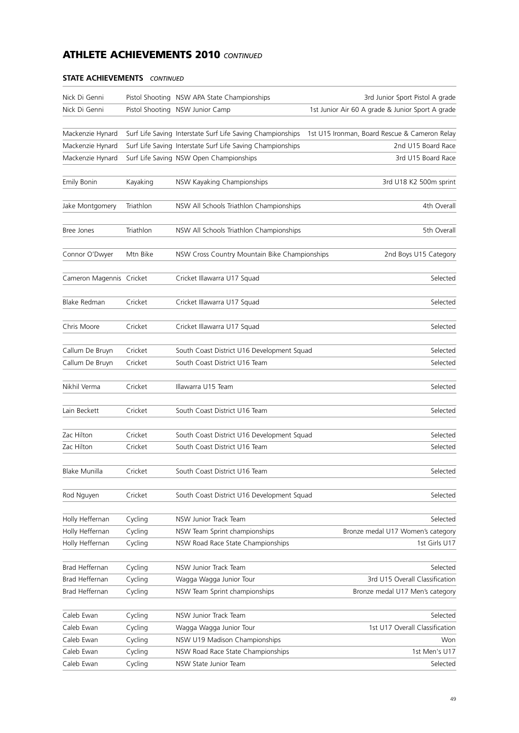| Nick Di Genni            |           | Pistol Shooting NSW APA State Championships                | 3rd Junior Sport Pistol A grade                  |
|--------------------------|-----------|------------------------------------------------------------|--------------------------------------------------|
| Nick Di Genni            |           | Pistol Shooting NSW Junior Camp                            | 1st Junior Air 60 A grade & Junior Sport A grade |
|                          |           |                                                            |                                                  |
| Mackenzie Hynard         |           | Surf Life Saving Interstate Surf Life Saving Championships | 1st U15 Ironman, Board Rescue & Cameron Relay    |
| Mackenzie Hynard         |           | Surf Life Saving Interstate Surf Life Saving Championships | 2nd U15 Board Race                               |
| Mackenzie Hynard         |           | Surf Life Saving NSW Open Championships                    | 3rd U15 Board Race                               |
|                          |           |                                                            |                                                  |
| Emily Bonin              | Kayaking  | NSW Kayaking Championships                                 | 3rd U18 K2 500m sprint                           |
|                          |           |                                                            |                                                  |
| Jake Montgomery          | Triathlon | NSW All Schools Triathlon Championships                    | 4th Overall                                      |
|                          |           |                                                            |                                                  |
| Bree Jones               | Triathlon | NSW All Schools Triathlon Championships                    | 5th Overall                                      |
|                          |           |                                                            |                                                  |
| Connor O'Dwyer           | Mtn Bike  | NSW Cross Country Mountain Bike Championships              | 2nd Boys U15 Category                            |
|                          |           |                                                            |                                                  |
| Cameron Magennis Cricket |           | Cricket Illawarra U17 Squad                                | Selected                                         |
|                          |           |                                                            |                                                  |
| Blake Redman             | Cricket   | Cricket Illawarra U17 Squad                                | Selected                                         |
|                          |           |                                                            |                                                  |
| Chris Moore              | Cricket   | Cricket Illawarra U17 Squad                                | Selected                                         |
|                          |           |                                                            |                                                  |
| Callum De Bruyn          | Cricket   | South Coast District U16 Development Squad                 | Selected                                         |
| Callum De Bruyn          | Cricket   | South Coast District U16 Team                              | Selected                                         |
|                          |           |                                                            |                                                  |
| Nikhil Verma             | Cricket   | Illawarra U15 Team                                         | Selected                                         |
|                          |           |                                                            |                                                  |
| Lain Beckett             | Cricket   | South Coast District U16 Team                              | Selected                                         |
| Zac Hilton               | Cricket   | South Coast District U16 Development Squad                 | Selected                                         |
| Zac Hilton               | Cricket   | South Coast District U16 Team                              | Selected                                         |
|                          |           |                                                            |                                                  |
| Blake Munilla            | Cricket   | South Coast District U16 Team                              | Selected                                         |
|                          |           |                                                            |                                                  |
| Rod Nguyen               | Cricket   | South Coast District U16 Development Squad                 | Selected                                         |
|                          |           |                                                            |                                                  |
| Holly Heffernan          | Cycling   | NSW Junior Track Team                                      | Selected                                         |
| Holly Heffernan          | Cycling   | NSW Team Sprint championships                              | Bronze medal U17 Women's category                |
| Holly Heffernan          | Cycling   | NSW Road Race State Championships                          | 1st Girls U17                                    |
|                          |           |                                                            |                                                  |
| Brad Heffernan           | Cycling   | NSW Junior Track Team                                      | Selected                                         |
| <b>Brad Heffernan</b>    | Cycling   | Wagga Wagga Junior Tour                                    | 3rd U15 Overall Classification                   |
| Brad Heffernan           | Cycling   | NSW Team Sprint championships                              | Bronze medal U17 Men's category                  |
|                          |           |                                                            |                                                  |
| Caleb Ewan               | Cycling   | NSW Junior Track Team                                      | Selected                                         |
| Caleb Ewan               | Cycling   | Wagga Wagga Junior Tour                                    | 1st U17 Overall Classification                   |
| Caleb Ewan               | Cycling   | NSW U19 Madison Championships                              | Won                                              |
| Caleb Ewan               | Cycling   | NSW Road Race State Championships                          | 1st Men's U17                                    |
| Caleb Ewan               | Cycling   | NSW State Junior Team                                      | Selected                                         |
|                          |           |                                                            |                                                  |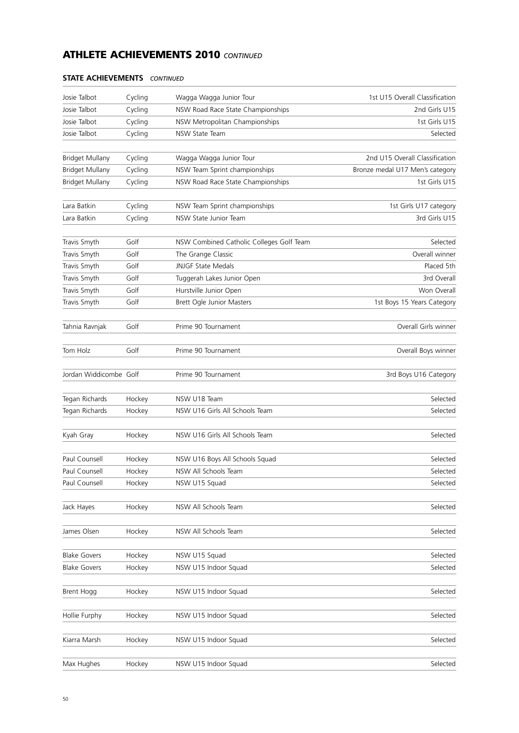| Josie Talbot           | Cycling | Wagga Wagga Junior Tour                  | 1st U15 Overall Classification  |
|------------------------|---------|------------------------------------------|---------------------------------|
| Josie Talbot           | Cycling | NSW Road Race State Championships        | 2nd Girls U15                   |
| Josie Talbot           | Cycling | NSW Metropolitan Championships           | 1st Girls U15                   |
| Josie Talbot           | Cycling | NSW State Team                           | Selected                        |
|                        |         |                                          |                                 |
| <b>Bridget Mullany</b> | Cycling | Wagga Wagga Junior Tour                  | 2nd U15 Overall Classification  |
| <b>Bridget Mullany</b> | Cycling | NSW Team Sprint championships            | Bronze medal U17 Men's category |
| <b>Bridget Mullany</b> | Cycling | NSW Road Race State Championships        | 1st Girls U15                   |
| Lara Batkin            | Cycling | NSW Team Sprint championships            | 1st Girls U17 category          |
| Lara Batkin            | Cycling | NSW State Junior Team                    | 3rd Girls U15                   |
|                        |         |                                          |                                 |
| Travis Smyth           | Golf    | NSW Combined Catholic Colleges Golf Team | Selected                        |
| Travis Smyth           | Golf    | The Grange Classic                       | Overall winner                  |
| Travis Smyth           | Golf    | <b>JNJGF State Medals</b>                | Placed 5th                      |
| Travis Smyth           | Golf    | Tuggerah Lakes Junior Open               | 3rd Overall                     |
| Travis Smyth           | Golf    | Hurstville Junior Open                   | Won Overall                     |
| Travis Smyth           | Golf    | Brett Ogle Junior Masters                | 1st Boys 15 Years Category      |
|                        |         |                                          |                                 |
| Tahnia Ravnjak         | Golf    | Prime 90 Tournament                      | Overall Girls winner            |
| Tom Holz               | Golf    | Prime 90 Tournament                      | Overall Boys winner             |
|                        |         |                                          |                                 |
| Jordan Widdicombe Golf |         | Prime 90 Tournament                      | 3rd Boys U16 Category           |
| Tegan Richards         | Hockey  | NSW U18 Team                             | Selected                        |
| Tegan Richards         | Hockey  | NSW U16 Girls All Schools Team           | Selected                        |
|                        |         |                                          |                                 |
| Kyah Gray              | Hockey  | NSW U16 Girls All Schools Team           | Selected                        |
| Paul Counsell          | Hockey  | NSW U16 Boys All Schools Squad           | Selected                        |
| Paul Counsell          | Hockey  | NSW All Schools Team                     | Selected                        |
| Paul Counsell          | Hockey  | NSW U15 Squad                            | Selected                        |
|                        |         | NSW All Schools Team                     | Selected                        |
| Jack Hayes             | Hockey  |                                          |                                 |
| James Olsen            | Hockey  | NSW All Schools Team                     | Selected                        |
| <b>Blake Govers</b>    | Hockey  | NSW U15 Squad                            | Selected                        |
| <b>Blake Govers</b>    | Hockey  | NSW U15 Indoor Squad                     | Selected                        |
|                        |         |                                          |                                 |
| Brent Hogg             | Hockey  | NSW U15 Indoor Squad                     | Selected                        |
| Hollie Furphy          | Hockey  | NSW U15 Indoor Squad                     | Selected                        |
| Kiarra Marsh           | Hockey  | NSW U15 Indoor Squad                     | Selected                        |
|                        |         |                                          |                                 |
| Max Hughes             | Hockey  | NSW U15 Indoor Squad                     | Selected                        |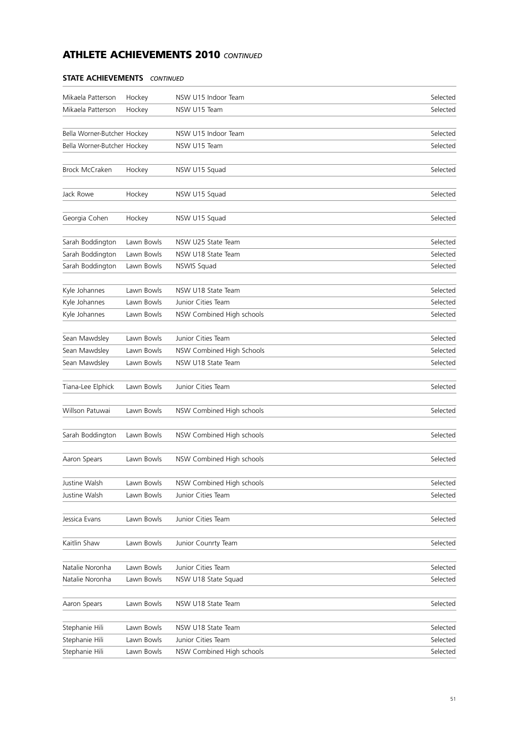| Hockey<br>Selected<br>Mikaela Patterson<br>NSW U15 Team<br>NSW U15 Indoor Team<br>Selected<br>Bella Worner-Butcher Hockey<br>Bella Worner-Butcher Hockey<br>Selected<br>NSW U15 Team<br>Brock McCraken<br>Hockey<br>NSW U15 Squad<br>Selected<br>Jack Rowe<br>NSW U15 Squad<br>Selected<br>Hockey<br>Georgia Cohen<br>Selected<br>Hockey<br>NSW U15 Squad<br>Sarah Boddington<br>Lawn Bowls<br>NSW U25 State Team<br>Selected<br>Sarah Boddington<br>Lawn Bowls<br>NSW U18 State Team<br>Selected<br>Sarah Boddington<br>Selected<br>Lawn Bowls<br>NSWIS Squad<br>Kyle Johannes<br>Lawn Bowls<br>NSW U18 State Team<br>Selected<br>Selected<br>Kyle Johannes<br>Lawn Bowls<br>Junior Cities Team<br>Kyle Johannes<br>NSW Combined High schools<br>Selected<br>Lawn Bowls<br>Selected<br>Sean Mawdsley<br>Lawn Bowls<br>Junior Cities Team<br>Sean Mawdsley<br>NSW Combined High Schools<br>Selected<br>Lawn Bowls<br>Sean Mawdsley<br>Lawn Bowls<br>NSW U18 State Team<br>Selected<br>Tiana-Lee Elphick<br>Lawn Bowls<br>Junior Cities Team<br>Selected<br>Willson Patuwai<br>Lawn Bowls<br>NSW Combined High schools<br>Selected<br>Sarah Boddington<br>NSW Combined High schools<br>Lawn Bowls<br>Selected<br>Aaron Spears<br>Lawn Bowls<br>NSW Combined High schools<br>Selected<br>Justine Walsh<br>Lawn Bowls<br>NSW Combined High schools<br>Selected<br>Justine Walsh<br>Lawn Bowls<br>Junior Cities Team<br>Selected<br>Jessica Evans<br>Lawn Bowls<br>Junior Cities Team<br>Selected<br>Kaitlin Shaw<br>Lawn Bowls<br>Selected<br>Junior Counrty Team<br>Junior Cities Team<br>Natalie Noronha<br>Lawn Bowls<br>Selected<br>Selected<br>Natalie Noronha<br>Lawn Bowls<br>NSW U18 State Squad<br>NSW U18 State Team<br>Aaron Spears<br>Lawn Bowls<br>Selected<br>Lawn Bowls<br>NSW U18 State Team<br>Selected<br>Stephanie Hili<br>Stephanie Hili<br>Lawn Bowls<br>Junior Cities Team<br>Selected<br>Stephanie Hili<br>NSW Combined High schools<br>Selected<br>Lawn Bowls | Mikaela Patterson | Hockey | NSW U15 Indoor Team | Selected |
|------------------------------------------------------------------------------------------------------------------------------------------------------------------------------------------------------------------------------------------------------------------------------------------------------------------------------------------------------------------------------------------------------------------------------------------------------------------------------------------------------------------------------------------------------------------------------------------------------------------------------------------------------------------------------------------------------------------------------------------------------------------------------------------------------------------------------------------------------------------------------------------------------------------------------------------------------------------------------------------------------------------------------------------------------------------------------------------------------------------------------------------------------------------------------------------------------------------------------------------------------------------------------------------------------------------------------------------------------------------------------------------------------------------------------------------------------------------------------------------------------------------------------------------------------------------------------------------------------------------------------------------------------------------------------------------------------------------------------------------------------------------------------------------------------------------------------------------------------------------------------------------------------------------------------------------------------------------------------------|-------------------|--------|---------------------|----------|
|                                                                                                                                                                                                                                                                                                                                                                                                                                                                                                                                                                                                                                                                                                                                                                                                                                                                                                                                                                                                                                                                                                                                                                                                                                                                                                                                                                                                                                                                                                                                                                                                                                                                                                                                                                                                                                                                                                                                                                                    |                   |        |                     |          |
|                                                                                                                                                                                                                                                                                                                                                                                                                                                                                                                                                                                                                                                                                                                                                                                                                                                                                                                                                                                                                                                                                                                                                                                                                                                                                                                                                                                                                                                                                                                                                                                                                                                                                                                                                                                                                                                                                                                                                                                    |                   |        |                     |          |
|                                                                                                                                                                                                                                                                                                                                                                                                                                                                                                                                                                                                                                                                                                                                                                                                                                                                                                                                                                                                                                                                                                                                                                                                                                                                                                                                                                                                                                                                                                                                                                                                                                                                                                                                                                                                                                                                                                                                                                                    |                   |        |                     |          |
|                                                                                                                                                                                                                                                                                                                                                                                                                                                                                                                                                                                                                                                                                                                                                                                                                                                                                                                                                                                                                                                                                                                                                                                                                                                                                                                                                                                                                                                                                                                                                                                                                                                                                                                                                                                                                                                                                                                                                                                    |                   |        |                     |          |
|                                                                                                                                                                                                                                                                                                                                                                                                                                                                                                                                                                                                                                                                                                                                                                                                                                                                                                                                                                                                                                                                                                                                                                                                                                                                                                                                                                                                                                                                                                                                                                                                                                                                                                                                                                                                                                                                                                                                                                                    |                   |        |                     |          |
|                                                                                                                                                                                                                                                                                                                                                                                                                                                                                                                                                                                                                                                                                                                                                                                                                                                                                                                                                                                                                                                                                                                                                                                                                                                                                                                                                                                                                                                                                                                                                                                                                                                                                                                                                                                                                                                                                                                                                                                    |                   |        |                     |          |
|                                                                                                                                                                                                                                                                                                                                                                                                                                                                                                                                                                                                                                                                                                                                                                                                                                                                                                                                                                                                                                                                                                                                                                                                                                                                                                                                                                                                                                                                                                                                                                                                                                                                                                                                                                                                                                                                                                                                                                                    |                   |        |                     |          |
|                                                                                                                                                                                                                                                                                                                                                                                                                                                                                                                                                                                                                                                                                                                                                                                                                                                                                                                                                                                                                                                                                                                                                                                                                                                                                                                                                                                                                                                                                                                                                                                                                                                                                                                                                                                                                                                                                                                                                                                    |                   |        |                     |          |
|                                                                                                                                                                                                                                                                                                                                                                                                                                                                                                                                                                                                                                                                                                                                                                                                                                                                                                                                                                                                                                                                                                                                                                                                                                                                                                                                                                                                                                                                                                                                                                                                                                                                                                                                                                                                                                                                                                                                                                                    |                   |        |                     |          |
|                                                                                                                                                                                                                                                                                                                                                                                                                                                                                                                                                                                                                                                                                                                                                                                                                                                                                                                                                                                                                                                                                                                                                                                                                                                                                                                                                                                                                                                                                                                                                                                                                                                                                                                                                                                                                                                                                                                                                                                    |                   |        |                     |          |
|                                                                                                                                                                                                                                                                                                                                                                                                                                                                                                                                                                                                                                                                                                                                                                                                                                                                                                                                                                                                                                                                                                                                                                                                                                                                                                                                                                                                                                                                                                                                                                                                                                                                                                                                                                                                                                                                                                                                                                                    |                   |        |                     |          |
|                                                                                                                                                                                                                                                                                                                                                                                                                                                                                                                                                                                                                                                                                                                                                                                                                                                                                                                                                                                                                                                                                                                                                                                                                                                                                                                                                                                                                                                                                                                                                                                                                                                                                                                                                                                                                                                                                                                                                                                    |                   |        |                     |          |
|                                                                                                                                                                                                                                                                                                                                                                                                                                                                                                                                                                                                                                                                                                                                                                                                                                                                                                                                                                                                                                                                                                                                                                                                                                                                                                                                                                                                                                                                                                                                                                                                                                                                                                                                                                                                                                                                                                                                                                                    |                   |        |                     |          |
|                                                                                                                                                                                                                                                                                                                                                                                                                                                                                                                                                                                                                                                                                                                                                                                                                                                                                                                                                                                                                                                                                                                                                                                                                                                                                                                                                                                                                                                                                                                                                                                                                                                                                                                                                                                                                                                                                                                                                                                    |                   |        |                     |          |
|                                                                                                                                                                                                                                                                                                                                                                                                                                                                                                                                                                                                                                                                                                                                                                                                                                                                                                                                                                                                                                                                                                                                                                                                                                                                                                                                                                                                                                                                                                                                                                                                                                                                                                                                                                                                                                                                                                                                                                                    |                   |        |                     |          |
|                                                                                                                                                                                                                                                                                                                                                                                                                                                                                                                                                                                                                                                                                                                                                                                                                                                                                                                                                                                                                                                                                                                                                                                                                                                                                                                                                                                                                                                                                                                                                                                                                                                                                                                                                                                                                                                                                                                                                                                    |                   |        |                     |          |
|                                                                                                                                                                                                                                                                                                                                                                                                                                                                                                                                                                                                                                                                                                                                                                                                                                                                                                                                                                                                                                                                                                                                                                                                                                                                                                                                                                                                                                                                                                                                                                                                                                                                                                                                                                                                                                                                                                                                                                                    |                   |        |                     |          |
|                                                                                                                                                                                                                                                                                                                                                                                                                                                                                                                                                                                                                                                                                                                                                                                                                                                                                                                                                                                                                                                                                                                                                                                                                                                                                                                                                                                                                                                                                                                                                                                                                                                                                                                                                                                                                                                                                                                                                                                    |                   |        |                     |          |
|                                                                                                                                                                                                                                                                                                                                                                                                                                                                                                                                                                                                                                                                                                                                                                                                                                                                                                                                                                                                                                                                                                                                                                                                                                                                                                                                                                                                                                                                                                                                                                                                                                                                                                                                                                                                                                                                                                                                                                                    |                   |        |                     |          |
|                                                                                                                                                                                                                                                                                                                                                                                                                                                                                                                                                                                                                                                                                                                                                                                                                                                                                                                                                                                                                                                                                                                                                                                                                                                                                                                                                                                                                                                                                                                                                                                                                                                                                                                                                                                                                                                                                                                                                                                    |                   |        |                     |          |
|                                                                                                                                                                                                                                                                                                                                                                                                                                                                                                                                                                                                                                                                                                                                                                                                                                                                                                                                                                                                                                                                                                                                                                                                                                                                                                                                                                                                                                                                                                                                                                                                                                                                                                                                                                                                                                                                                                                                                                                    |                   |        |                     |          |
|                                                                                                                                                                                                                                                                                                                                                                                                                                                                                                                                                                                                                                                                                                                                                                                                                                                                                                                                                                                                                                                                                                                                                                                                                                                                                                                                                                                                                                                                                                                                                                                                                                                                                                                                                                                                                                                                                                                                                                                    |                   |        |                     |          |
|                                                                                                                                                                                                                                                                                                                                                                                                                                                                                                                                                                                                                                                                                                                                                                                                                                                                                                                                                                                                                                                                                                                                                                                                                                                                                                                                                                                                                                                                                                                                                                                                                                                                                                                                                                                                                                                                                                                                                                                    |                   |        |                     |          |
|                                                                                                                                                                                                                                                                                                                                                                                                                                                                                                                                                                                                                                                                                                                                                                                                                                                                                                                                                                                                                                                                                                                                                                                                                                                                                                                                                                                                                                                                                                                                                                                                                                                                                                                                                                                                                                                                                                                                                                                    |                   |        |                     |          |
|                                                                                                                                                                                                                                                                                                                                                                                                                                                                                                                                                                                                                                                                                                                                                                                                                                                                                                                                                                                                                                                                                                                                                                                                                                                                                                                                                                                                                                                                                                                                                                                                                                                                                                                                                                                                                                                                                                                                                                                    |                   |        |                     |          |
|                                                                                                                                                                                                                                                                                                                                                                                                                                                                                                                                                                                                                                                                                                                                                                                                                                                                                                                                                                                                                                                                                                                                                                                                                                                                                                                                                                                                                                                                                                                                                                                                                                                                                                                                                                                                                                                                                                                                                                                    |                   |        |                     |          |
|                                                                                                                                                                                                                                                                                                                                                                                                                                                                                                                                                                                                                                                                                                                                                                                                                                                                                                                                                                                                                                                                                                                                                                                                                                                                                                                                                                                                                                                                                                                                                                                                                                                                                                                                                                                                                                                                                                                                                                                    |                   |        |                     |          |
|                                                                                                                                                                                                                                                                                                                                                                                                                                                                                                                                                                                                                                                                                                                                                                                                                                                                                                                                                                                                                                                                                                                                                                                                                                                                                                                                                                                                                                                                                                                                                                                                                                                                                                                                                                                                                                                                                                                                                                                    |                   |        |                     |          |
|                                                                                                                                                                                                                                                                                                                                                                                                                                                                                                                                                                                                                                                                                                                                                                                                                                                                                                                                                                                                                                                                                                                                                                                                                                                                                                                                                                                                                                                                                                                                                                                                                                                                                                                                                                                                                                                                                                                                                                                    |                   |        |                     |          |
|                                                                                                                                                                                                                                                                                                                                                                                                                                                                                                                                                                                                                                                                                                                                                                                                                                                                                                                                                                                                                                                                                                                                                                                                                                                                                                                                                                                                                                                                                                                                                                                                                                                                                                                                                                                                                                                                                                                                                                                    |                   |        |                     |          |
|                                                                                                                                                                                                                                                                                                                                                                                                                                                                                                                                                                                                                                                                                                                                                                                                                                                                                                                                                                                                                                                                                                                                                                                                                                                                                                                                                                                                                                                                                                                                                                                                                                                                                                                                                                                                                                                                                                                                                                                    |                   |        |                     |          |
|                                                                                                                                                                                                                                                                                                                                                                                                                                                                                                                                                                                                                                                                                                                                                                                                                                                                                                                                                                                                                                                                                                                                                                                                                                                                                                                                                                                                                                                                                                                                                                                                                                                                                                                                                                                                                                                                                                                                                                                    |                   |        |                     |          |
|                                                                                                                                                                                                                                                                                                                                                                                                                                                                                                                                                                                                                                                                                                                                                                                                                                                                                                                                                                                                                                                                                                                                                                                                                                                                                                                                                                                                                                                                                                                                                                                                                                                                                                                                                                                                                                                                                                                                                                                    |                   |        |                     |          |
|                                                                                                                                                                                                                                                                                                                                                                                                                                                                                                                                                                                                                                                                                                                                                                                                                                                                                                                                                                                                                                                                                                                                                                                                                                                                                                                                                                                                                                                                                                                                                                                                                                                                                                                                                                                                                                                                                                                                                                                    |                   |        |                     |          |
|                                                                                                                                                                                                                                                                                                                                                                                                                                                                                                                                                                                                                                                                                                                                                                                                                                                                                                                                                                                                                                                                                                                                                                                                                                                                                                                                                                                                                                                                                                                                                                                                                                                                                                                                                                                                                                                                                                                                                                                    |                   |        |                     |          |
|                                                                                                                                                                                                                                                                                                                                                                                                                                                                                                                                                                                                                                                                                                                                                                                                                                                                                                                                                                                                                                                                                                                                                                                                                                                                                                                                                                                                                                                                                                                                                                                                                                                                                                                                                                                                                                                                                                                                                                                    |                   |        |                     |          |
|                                                                                                                                                                                                                                                                                                                                                                                                                                                                                                                                                                                                                                                                                                                                                                                                                                                                                                                                                                                                                                                                                                                                                                                                                                                                                                                                                                                                                                                                                                                                                                                                                                                                                                                                                                                                                                                                                                                                                                                    |                   |        |                     |          |
|                                                                                                                                                                                                                                                                                                                                                                                                                                                                                                                                                                                                                                                                                                                                                                                                                                                                                                                                                                                                                                                                                                                                                                                                                                                                                                                                                                                                                                                                                                                                                                                                                                                                                                                                                                                                                                                                                                                                                                                    |                   |        |                     |          |
|                                                                                                                                                                                                                                                                                                                                                                                                                                                                                                                                                                                                                                                                                                                                                                                                                                                                                                                                                                                                                                                                                                                                                                                                                                                                                                                                                                                                                                                                                                                                                                                                                                                                                                                                                                                                                                                                                                                                                                                    |                   |        |                     |          |
|                                                                                                                                                                                                                                                                                                                                                                                                                                                                                                                                                                                                                                                                                                                                                                                                                                                                                                                                                                                                                                                                                                                                                                                                                                                                                                                                                                                                                                                                                                                                                                                                                                                                                                                                                                                                                                                                                                                                                                                    |                   |        |                     |          |
|                                                                                                                                                                                                                                                                                                                                                                                                                                                                                                                                                                                                                                                                                                                                                                                                                                                                                                                                                                                                                                                                                                                                                                                                                                                                                                                                                                                                                                                                                                                                                                                                                                                                                                                                                                                                                                                                                                                                                                                    |                   |        |                     |          |
|                                                                                                                                                                                                                                                                                                                                                                                                                                                                                                                                                                                                                                                                                                                                                                                                                                                                                                                                                                                                                                                                                                                                                                                                                                                                                                                                                                                                                                                                                                                                                                                                                                                                                                                                                                                                                                                                                                                                                                                    |                   |        |                     |          |
|                                                                                                                                                                                                                                                                                                                                                                                                                                                                                                                                                                                                                                                                                                                                                                                                                                                                                                                                                                                                                                                                                                                                                                                                                                                                                                                                                                                                                                                                                                                                                                                                                                                                                                                                                                                                                                                                                                                                                                                    |                   |        |                     |          |
|                                                                                                                                                                                                                                                                                                                                                                                                                                                                                                                                                                                                                                                                                                                                                                                                                                                                                                                                                                                                                                                                                                                                                                                                                                                                                                                                                                                                                                                                                                                                                                                                                                                                                                                                                                                                                                                                                                                                                                                    |                   |        |                     |          |
|                                                                                                                                                                                                                                                                                                                                                                                                                                                                                                                                                                                                                                                                                                                                                                                                                                                                                                                                                                                                                                                                                                                                                                                                                                                                                                                                                                                                                                                                                                                                                                                                                                                                                                                                                                                                                                                                                                                                                                                    |                   |        |                     |          |
|                                                                                                                                                                                                                                                                                                                                                                                                                                                                                                                                                                                                                                                                                                                                                                                                                                                                                                                                                                                                                                                                                                                                                                                                                                                                                                                                                                                                                                                                                                                                                                                                                                                                                                                                                                                                                                                                                                                                                                                    |                   |        |                     |          |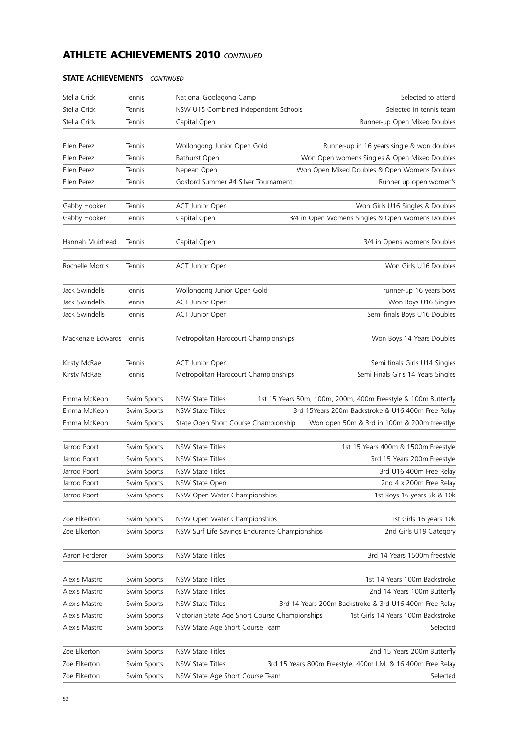| Stella Crick             | Tennis      | National Goolagong Camp                        | Selected to attend                                            |
|--------------------------|-------------|------------------------------------------------|---------------------------------------------------------------|
| Stella Crick             | Tennis      | NSW U15 Combined Independent Schools           | Selected in tennis team                                       |
| Stella Crick             | Tennis      | Capital Open                                   | Runner-up Open Mixed Doubles                                  |
|                          |             |                                                |                                                               |
| Ellen Perez              | Tennis      | Wollongong Junior Open Gold                    | Runner-up in 16 years single & won doubles                    |
| Ellen Perez              | Tennis      | Bathurst Open                                  | Won Open womens Singles & Open Mixed Doubles                  |
| Ellen Perez              | Tennis      | Nepean Open                                    | Won Open Mixed Doubles & Open Womens Doubles                  |
| Ellen Perez              | Tennis      | Gosford Summer #4 Silver Tournament            | Runner up open women's                                        |
|                          |             |                                                |                                                               |
| Gabby Hooker             | Tennis      | <b>ACT Junior Open</b>                         | Won Girls U16 Singles & Doubles                               |
| Gabby Hooker             | Tennis      | Capital Open                                   | 3/4 in Open Womens Singles & Open Womens Doubles              |
|                          |             |                                                |                                                               |
| Hannah Muirhead          | Tennis      | Capital Open                                   | 3/4 in Opens womens Doubles                                   |
|                          |             |                                                |                                                               |
| Rochelle Morris          | Tennis      | <b>ACT Junior Open</b>                         | Won Girls U16 Doubles                                         |
|                          |             |                                                |                                                               |
| Jack Swindells           | Tennis      | Wollongong Junior Open Gold                    | runner-up 16 years boys                                       |
| Jack Swindells           | Tennis      | <b>ACT Junior Open</b>                         | Won Boys U16 Singles                                          |
| Jack Swindells           | Tennis      | <b>ACT Junior Open</b>                         | Semi finals Boys U16 Doubles                                  |
|                          |             |                                                |                                                               |
| Mackenzie Edwards Tennis |             | Metropolitan Hardcourt Championships           | Won Boys 14 Years Doubles                                     |
|                          |             |                                                |                                                               |
| Kirsty McRae             | Tennis      | <b>ACT Junior Open</b>                         | Semi finals Girls U14 Singles                                 |
| Kirsty McRae             | Tennis      | Metropolitan Hardcourt Championships           | Semi Finals Girls 14 Years Singles                            |
| Emma McKeon              | Swim Sports | <b>NSW State Titles</b>                        | 1st 15 Years 50m, 100m, 200m, 400m Freestyle & 100m Butterfly |
| Emma McKeon              | Swim Sports | NSW State Titles                               | 3rd 15Years 200m Backstroke & U16 400m Free Relay             |
| Emma McKeon              | Swim Sports | State Open Short Course Championship           | Won open 50m & 3rd in 100m & 200m freestlye                   |
|                          |             |                                                |                                                               |
| Jarrod Poort             | Swim Sports | NSW State Titles                               | 1st 15 Years 400m & 1500m Freestyle                           |
| Jarrod Poort             | Swim Sports | NSW State Titles                               | 3rd 15 Years 200m Freestyle                                   |
| Jarrod Poort             | Swim Sports | <b>NSW State Titles</b>                        | 3rd U16 400m Free Relay                                       |
| Jarrod Poort             | Swim Sports | NSW State Open                                 | 2nd 4 x 200m Free Relay                                       |
| Jarrod Poort             | Swim Sports | NSW Open Water Championships                   | 1st Boys 16 years 5k & 10k                                    |
|                          |             |                                                |                                                               |
| Zoe Elkerton             | Swim Sports | NSW Open Water Championships                   | 1st Girls 16 years 10k                                        |
| Zoe Elkerton             | Swim Sports | NSW Surf Life Savings Endurance Championships  | 2nd Girls U19 Category                                        |
|                          |             |                                                |                                                               |
| Aaron Ferderer           | Swim Sports | <b>NSW State Titles</b>                        | 3rd 14 Years 1500m freestyle                                  |
|                          |             |                                                |                                                               |
| Alexis Mastro            | Swim Sports | <b>NSW State Titles</b>                        | 1st 14 Years 100m Backstroke                                  |
| Alexis Mastro            | Swim Sports | <b>NSW State Titles</b>                        | 2nd 14 Years 100m Butterfly                                   |
| Alexis Mastro            | Swim Sports | NSW State Titles                               | 3rd 14 Years 200m Backstroke & 3rd U16 400m Free Relay        |
| Alexis Mastro            | Swim Sports | Victorian State Age Short Course Championships | 1st Girls 14 Years 100m Backstroke                            |
| Alexis Mastro            | Swim Sports | NSW State Age Short Course Team                | Selected                                                      |
|                          |             |                                                |                                                               |
| Zoe Elkerton             | Swim Sports | <b>NSW State Titles</b>                        | 2nd 15 Years 200m Butterfly                                   |
| Zoe Elkerton             | Swim Sports | <b>NSW State Titles</b>                        | 3rd 15 Years 800m Freestyle, 400m I.M. & 16 400m Free Relay   |
| Zoe Elkerton             | Swim Sports | NSW State Age Short Course Team                | Selected                                                      |